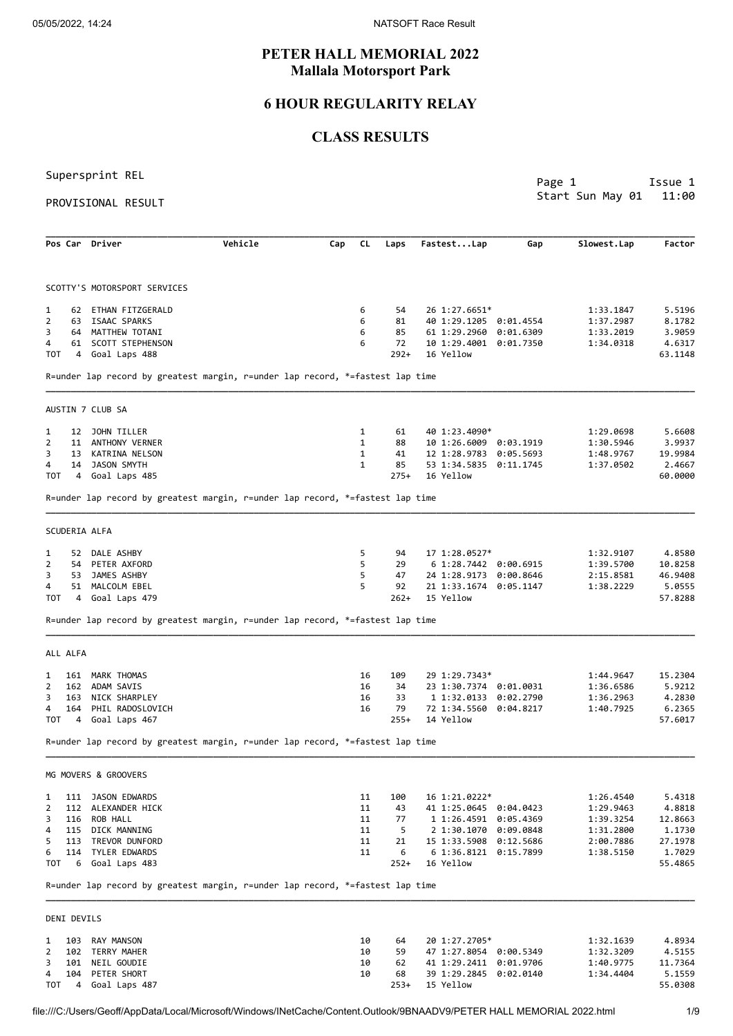# **PETER HALL MEMORIAL 2022 Mallala Motorsport Park**

# **6 HOUR REGULARITY RELAY**

# **CLASS RESULTS**

Supersprint REL

PROVISIONAL RESULT

Page 1 **Issue 1** Start Sun May 01 11:00

|                           | Pos Car Driver                    | Vehicle                                                                       | Cap | CL.          | Laps       | FastestLap                             | Gap       | Slowest.Lap            | Factor            |
|---------------------------|-----------------------------------|-------------------------------------------------------------------------------|-----|--------------|------------|----------------------------------------|-----------|------------------------|-------------------|
|                           | SCOTTY'S MOTORSPORT SERVICES      |                                                                               |     |              |            |                                        |           |                        |                   |
|                           |                                   |                                                                               |     |              |            |                                        |           |                        |                   |
| 1<br>62                   | ETHAN FITZGERALD                  |                                                                               |     | 6            | 54         | 26 1:27.6651*                          |           | 1:33.1847              | 5.5196            |
| $\overline{2}$<br>63<br>3 | ISAAC SPARKS<br>64 MATTHEW TOTANI |                                                                               |     | 6<br>6       | 81<br>85   | 40 1:29.1205                           | 0:01.4554 | 1:37.2987              | 8.1782            |
| 4                         | 61 SCOTT STEPHENSON               |                                                                               |     | 6            | 72         | 61 1:29.2960<br>10 1:29.4001 0:01.7350 | 0:01.6309 | 1:33.2019<br>1:34.0318 | 3.9059<br>4.6317  |
| тот<br>4                  | Goal Laps 488                     |                                                                               |     |              | $292+$     | 16 Yellow                              |           |                        | 63.1148           |
|                           |                                   | R=under lap record by greatest margin, r=under lap record, *=fastest lap time |     |              |            |                                        |           |                        |                   |
|                           | AUSTIN 7 CLUB SA                  |                                                                               |     |              |            |                                        |           |                        |                   |
| 1<br>12                   | JOHN TILLER                       |                                                                               |     | 1            | 61         | 40 1:23.4090*                          |           | 1:29.0698              | 5.6608            |
| 2<br>11                   | ANTHONY VERNER                    |                                                                               |     | $\mathbf{1}$ | 88         | 10 1:26.6009 0:03.1919                 |           | 1:30.5946              | 3.9937            |
| 3                         | 13 KATRINA NELSON                 |                                                                               |     | $\mathbf{1}$ | 41         | 12 1:28.9783                           | 0:05.5693 | 1:48.9767              | 19.9984           |
| 4<br>14<br>тот            | JASON SMYTH<br>4 Goal Laps 485    |                                                                               |     | $\mathbf{1}$ | 85<br>275+ | 53 1:34.5835 0:11.1745<br>16 Yellow    |           | 1:37.0502              | 2.4667<br>60.0000 |
|                           |                                   | R=under lap record by greatest margin, r=under lap record, *=fastest lap time |     |              |            |                                        |           |                        |                   |
| SCUDERIA ALFA             |                                   |                                                                               |     |              |            |                                        |           |                        |                   |
| 1<br>52                   | DALE ASHBY                        |                                                                               |     | 5            | 94         | 17 1:28.0527*                          |           | 1:32.9107              | 4.8580            |
| 2<br>54                   | PETER AXFORD                      |                                                                               |     | 5            | 29         | 6 1:28.7442 0:00.6915                  |           | 1:39.5700              | 10.8258           |
| 3<br>53                   | JAMES ASHBY                       |                                                                               |     | 5            | 47         | 24 1:28.9173                           | 0:00.8646 | 2:15.8581              | 46.9408           |
| 4                         | 51 MALCOLM EBEL                   |                                                                               |     | 5            | 92         | 21 1:33.1674 0:05.1147                 |           | 1:38.2229              | 5.0555            |
| тот                       | 4 Goal Laps 479                   |                                                                               |     |              | $262+$     | 15 Yellow                              |           |                        | 57.8288           |
|                           |                                   | R=under lap record by greatest margin, r=under lap record, *=fastest lap time |     |              |            |                                        |           |                        |                   |
| ALL ALFA                  |                                   |                                                                               |     |              |            |                                        |           |                        |                   |
| 161<br>1                  | MARK THOMAS                       |                                                                               |     | 16           | 109        | 29 1:29.7343*                          |           | 1:44.9647              | 15.2304           |
| 2<br>162                  | ADAM SAVIS                        |                                                                               |     | 16           | 34         | 23 1:30.7374 0:01.0031                 |           | 1:36.6586              | 5.9212            |
| 3<br>163                  | NICK SHARPLEY                     |                                                                               |     | 16           | 33         | 1 1:32.0133                            | 0:02.2790 | 1:36.2963              | 4.2830            |
| 4<br>164                  | PHIL RADOSLOVICH                  |                                                                               |     | 16           | 79         | 72 1:34.5560 0:04.8217                 |           | 1:40.7925              | 6.2365            |
| тот<br>4                  | Goal Laps 467                     |                                                                               |     |              | 255+       | 14 Yellow                              |           |                        | 57.6017           |
|                           |                                   | R=under lap record by greatest margin, r=under lap record, *=fastest lap time |     |              |            |                                        |           |                        |                   |
|                           | MG MOVERS & GROOVERS              |                                                                               |     |              |            |                                        |           |                        |                   |
| 1<br>111                  | JASON EDWARDS                     |                                                                               |     | 11           | 100        | 16 1:21.0222*                          |           | 1:26.4540              | 5.4318            |
| $\overline{2}$<br>112     | ALEXANDER HICK                    |                                                                               |     | 11           | 43         | 41 1:25.0645 0:04.0423                 |           | 1:29.9463              | 4.8818            |
| 3                         | 116 ROB HALL                      |                                                                               |     | 11           | 77         | 1 1:26.4591 0:05.4369                  |           | 1:39.3254              | 12.8663           |
| 115<br>4                  | DICK MANNING                      |                                                                               |     | 11           | 5          | 2 1:30.1070 0:09.0848                  |           | 1:31.2800              | 1.1730            |
| 5                         | 113 TREVOR DUNFORD                |                                                                               |     | 11           | 21         | 15 1:33.5908 0:12.5686                 |           | 2:00.7886              | 27.1978           |
| 6                         | 114 TYLER EDWARDS                 |                                                                               |     | 11           | 6          | 6 1:36.8121 0:15.7899                  |           | 1:38.5150              | 1.7029            |
| TOT<br>- 6                | Goal Laps 483                     |                                                                               |     |              | $252+$     | 16 Yellow                              |           |                        | 55.4865           |
|                           |                                   | R=under lap record by greatest margin, r=under lap record, *=fastest lap time |     |              |            |                                        |           |                        |                   |
| DENI DEVILS               |                                   |                                                                               |     |              |            |                                        |           |                        |                   |
| 1                         | 103 RAY MANSON                    |                                                                               |     | 10           | 64         | 20 1:27.2705*                          |           | 1:32.1639              | 4.8934            |
| 2<br>102                  | TERRY MAHER                       |                                                                               |     | 10           | 59         | 47 1:27.8054 0:00.5349                 |           | 1:32.3209              | 4.5155            |
| 101<br>3                  | NEIL GOUDIE                       |                                                                               |     | 10           | 62         | 41 1:29.2411 0:01.9706                 |           | 1:40.9775              | 11.7364           |
| 104<br>4                  | PETER SHORT                       |                                                                               |     | 10           | 68         | 39 1:29.2845 0:02.0140                 |           | 1:34.4404              | 5.1559            |
| <b>TOT</b>                | 4 Goal Laps 487                   |                                                                               |     |              | 253+       | 15 Yellow                              |           |                        | 55.0308           |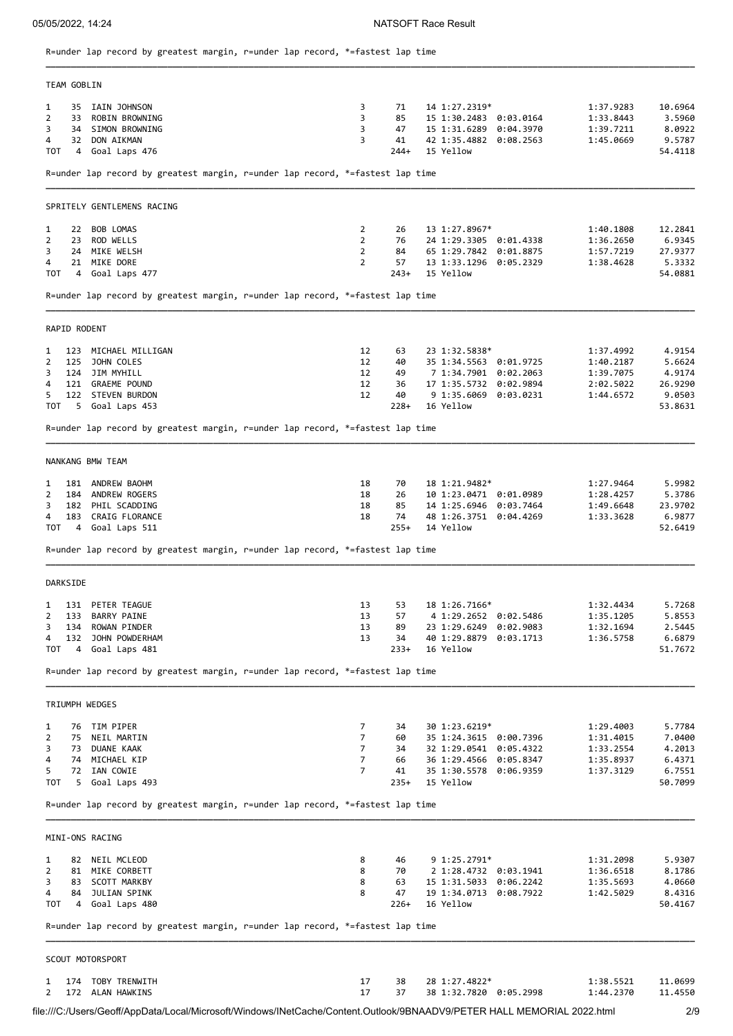**\_\_\_\_\_\_\_\_\_\_\_\_\_\_\_\_\_\_\_\_\_\_\_\_\_\_\_\_\_\_\_\_\_\_\_\_\_\_\_\_\_\_\_\_\_\_\_\_\_\_\_\_\_\_\_\_\_\_\_\_\_\_\_\_\_\_\_\_\_\_\_\_\_\_\_\_\_\_\_\_\_\_\_\_\_\_\_\_\_\_\_\_\_\_\_\_\_\_\_\_\_\_\_\_\_\_\_\_\_\_\_\_\_\_\_\_\_\_\_\_\_\_\_\_\_\_\_\_**

R=under lap record by greatest margin, r=under lap record, \*=fastest lap time

|                                           | TEAM GOBLIN  |                                                                                                                                                                                 |                                                                      |                                      |                                                                                                                                    |                        |                                                               |                                                            |
|-------------------------------------------|--------------|---------------------------------------------------------------------------------------------------------------------------------------------------------------------------------|----------------------------------------------------------------------|--------------------------------------|------------------------------------------------------------------------------------------------------------------------------------|------------------------|---------------------------------------------------------------|------------------------------------------------------------|
| 1<br>$\overline{2}$<br>3<br>4<br>TOT      |              | 35 IAIN JOHNSON<br>33 ROBIN BROWNING<br>34 SIMON BROWNING<br>32 DON AIKMAN<br>4 Goal Laps 476                                                                                   | 3<br>3<br>3<br>3                                                     | 71<br>85<br>47<br>41<br>$244+$       | 14 1:27.2319*<br>15 1:30.2483 0:03.0164<br>15 1:31.6289 0:04.3970<br>42 1:35.4882 0:08.2563<br>15 Yellow                           |                        | 1:37.9283<br>1:33.8443<br>1:39.7211<br>1:45.0669              | 10.6964<br>3.5960<br>8.0922<br>9.5787<br>54.4118           |
|                                           |              | R=under lap record by greatest margin, r=under lap record, *=fastest lap time                                                                                                   |                                                                      |                                      |                                                                                                                                    |                        |                                                               |                                                            |
|                                           |              | SPRITELY GENTLEMENS RACING                                                                                                                                                      |                                                                      |                                      |                                                                                                                                    |                        |                                                               |                                                            |
| 1<br>$\overline{2}$<br>3<br>4             |              | 22 BOB LOMAS<br>23 ROD WELLS<br>24 MIKE WELSH<br>21 MIKE DORE                                                                                                                   | $\overline{2}$<br>$\overline{2}$<br>$\overline{2}$<br>$\overline{2}$ | 26<br>76<br>84<br>57                 | 13 1:27.8967*<br>24 1:29.3305 0:01.4338<br>65 1:29.7842 0:01.8875<br>13 1:33.1296 0:05.2329                                        |                        | 1:40.1808<br>1:36.2650<br>1:57.7219<br>1:38.4628              | 12.2841<br>6.9345<br>27.9377<br>5.3332                     |
|                                           |              | TOT 4 Goal Laps 477                                                                                                                                                             |                                                                      | $243+$                               | 15 Yellow                                                                                                                          |                        |                                                               | 54.0881                                                    |
|                                           |              | R=under lap record by greatest margin, r=under lap record, *=fastest lap time                                                                                                   |                                                                      |                                      |                                                                                                                                    |                        |                                                               |                                                            |
|                                           | RAPID RODENT |                                                                                                                                                                                 |                                                                      |                                      |                                                                                                                                    |                        |                                                               |                                                            |
| 1<br>$\overline{2}$<br>3<br>4<br>5<br>TOT | 125          | 123 MICHAEL MILLIGAN<br>JOHN COLES<br>124 JIM MYHILL<br>121 GRAEME POUND<br>122 STEVEN BURDON<br>5 Goal Laps 453                                                                | 12<br>12<br>12<br>12<br>12                                           | 63<br>40<br>49<br>36<br>40<br>$228+$ | 23 1:32.5838*<br>35 1:34.5563 0:01.9725<br>7 1:34.7901 0:02.2063<br>17 1:35.5732 0:02.9894<br>9 1:35.6069 0:03.0231<br>16 Yellow   |                        | 1:37.4992<br>1:40.2187<br>1:39.7075<br>2:02.5022<br>1:44.6572 | 4.9154<br>5.6624<br>4.9174<br>26.9290<br>9.0503<br>53.8631 |
|                                           |              | R=under lap record by greatest margin, r=under lap record, *=fastest lap time                                                                                                   |                                                                      |                                      |                                                                                                                                    |                        |                                                               |                                                            |
|                                           |              | NANKANG BMW TEAM                                                                                                                                                                |                                                                      |                                      |                                                                                                                                    |                        |                                                               |                                                            |
| 1<br>2<br>3<br>4                          |              | 181 ANDREW BAOHM<br>184 ANDREW ROGERS<br>182 PHIL SCADDING<br>183 CRAIG FLORANCE<br>TOT 4 Goal Laps 511                                                                         | 18<br>18<br>18<br>18                                                 | 70<br>26<br>85<br>74<br>$255+$       | 18 1:21.9482*<br>10 1:23.0471 0:01.0989<br>14 1:25.6946 0:03.7464<br>48 1:26.3751 0:04.4269<br>14 Yellow                           |                        | 1:27.9464<br>1:28.4257<br>1:49.6648<br>1:33.3628              | 5.9982<br>5.3786<br>23.9702<br>6.9877<br>52.6419           |
|                                           |              | R=under lap record by greatest margin, r=under lap record, *=fastest lap time                                                                                                   |                                                                      |                                      |                                                                                                                                    |                        |                                                               |                                                            |
|                                           | DARKSIDE     |                                                                                                                                                                                 |                                                                      |                                      |                                                                                                                                    |                        |                                                               |                                                            |
| 1<br>$\overline{2}$<br>4                  |              | 131 PETER TEAGUE<br>133 BARRY PAINE<br>3 134 ROWAN PINDER<br>132 JOHN POWDERHAM<br>TOT 4 Goal Laps 481                                                                          | 13<br>13<br>13<br>13                                                 | 53<br>57<br>89<br>34<br>$233+$       | 18 1:26.7166*<br>4 1:29.2652 0:02.5486<br>23 1:29.6249 0:02.9083<br>40 1:29.8879 0:03.1713<br>16 Yellow                            |                        | 1:32.4434<br>1:35.1205<br>1:32.1694<br>1:36.5758              | 5.7268<br>5.8553<br>2.5445<br>6.6879<br>51.7672            |
|                                           |              | R=under lap record by greatest margin, r=under lap record, *=fastest lap time                                                                                                   |                                                                      |                                      |                                                                                                                                    |                        |                                                               |                                                            |
|                                           |              | TRIUMPH WEDGES                                                                                                                                                                  |                                                                      |                                      |                                                                                                                                    |                        |                                                               |                                                            |
| 1<br>2<br>3<br>4<br>5                     |              | 76 TIM PIPER<br>75 NEIL MARTIN<br>73 DUANE KAAK<br>74 MICHAEL KIP<br>72 IAN COWIE<br>TOT 5 Goal Laps 493                                                                        | 7<br>$7^{\circ}$<br>$7^{\circ}$<br>$7\overline{ }$<br>$\overline{7}$ | 34<br>60<br>34<br>66<br>41<br>$235+$ | 30 1:23.6219*<br>35 1:24.3615 0:00.7396<br>32 1:29.0541 0:05.4322<br>36 1:29.4566 0:05.8347<br>35 1:30.5578 0:06.9359<br>15 Yellow |                        | 1:29.4003<br>1:31.4015<br>1:33.2554<br>1:35.8937<br>1:37.3129 | 5.7784<br>7.0400<br>4.2013<br>6.4371<br>6.7551<br>50.7099  |
|                                           |              | R=under lap record by greatest margin, r=under lap record, *=fastest lap time                                                                                                   |                                                                      |                                      |                                                                                                                                    |                        |                                                               |                                                            |
|                                           |              | MINI-ONS RACING                                                                                                                                                                 |                                                                      |                                      |                                                                                                                                    |                        |                                                               |                                                            |
| 1<br>2<br>3<br>4                          |              | 82 NEIL MCLEOD<br>81 MIKE CORBETT<br>83 SCOTT MARKBY<br>84 JULIAN SPINK<br>TOT 4 Goal Laps 480<br>R=under lap record by greatest margin, r=under lap record, *=fastest lap time | 8<br>8<br>8<br>8                                                     | 46<br>70<br>63<br>47<br>$226+$       | 9 1:25.2791*<br>2 1:28.4732 0:03.1941<br>19 1:34.0713 0:08.7922<br>16 Yellow                                                       | 15 1:31.5033 0:06.2242 | 1:31.2098<br>1:36.6518<br>1:35.5693<br>1:42.5029              | 5.9307<br>8.1786<br>4.0660<br>8.4316<br>50.4167            |
|                                           |              | SCOUT MOTORSPORT                                                                                                                                                                |                                                                      |                                      |                                                                                                                                    |                        |                                                               |                                                            |
| 1<br>2                                    |              | 174 TOBY TRENWITH<br>172 ALAN HAWKINS                                                                                                                                           | 17<br>17                                                             | 38<br>37                             | 28 1:27.4822*<br>38 1:32.7820 0:05.2998                                                                                            |                        | 1:38.5521<br>1:44.2370                                        | 11.0699<br>11.4550                                         |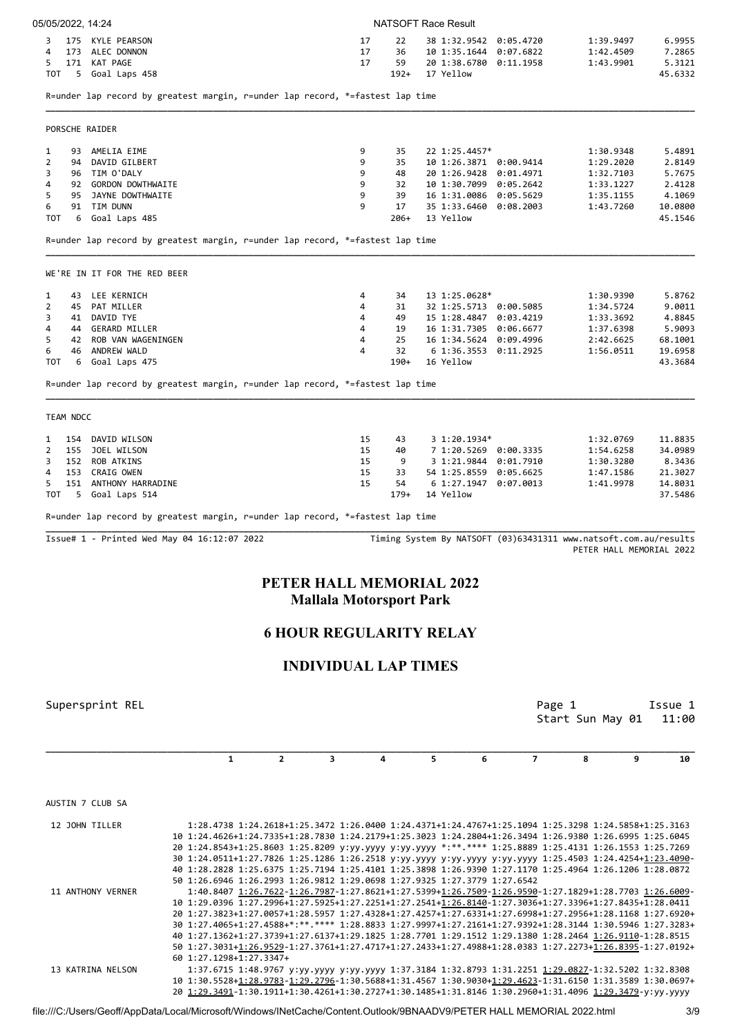| 5<br>171 KAT PAGE<br>5 Goal Laps 458<br>тот                                                                                         |                                                                          |                                | 17                             | 59<br>$192+$ |    | 20 1:38.6780 0:11.1958                           |                |                                                                                                                                                                                                                                                                                                                         |                   |
|-------------------------------------------------------------------------------------------------------------------------------------|--------------------------------------------------------------------------|--------------------------------|--------------------------------|--------------|----|--------------------------------------------------|----------------|-------------------------------------------------------------------------------------------------------------------------------------------------------------------------------------------------------------------------------------------------------------------------------------------------------------------------|-------------------|
|                                                                                                                                     |                                                                          |                                |                                |              |    | 17 Yellow                                        |                | 1:43.9901                                                                                                                                                                                                                                                                                                               | 5.3121<br>45.6332 |
|                                                                                                                                     |                                                                          |                                |                                |              |    |                                                  |                |                                                                                                                                                                                                                                                                                                                         |                   |
| R=under lap record by greatest margin, r=under lap record, *=fastest lap time                                                       |                                                                          |                                |                                |              |    |                                                  |                |                                                                                                                                                                                                                                                                                                                         |                   |
| PORSCHE RAIDER                                                                                                                      |                                                                          |                                |                                |              |    |                                                  |                |                                                                                                                                                                                                                                                                                                                         |                   |
| 93 AMELIA EIME<br>1                                                                                                                 |                                                                          |                                | 9                              | 35           |    | 22 1:25.4457*                                    |                | 1:30.9348                                                                                                                                                                                                                                                                                                               | 5.4891            |
| 2<br>94 DAVID GILBERT                                                                                                               |                                                                          |                                | 9                              | 35           |    | 10 1:26.3871 0:00.9414                           |                | 1:29.2020                                                                                                                                                                                                                                                                                                               | 2.8149            |
| 3<br>96 TIM O'DALY                                                                                                                  |                                                                          |                                | 9                              | 48           |    | 20 1:26.9428 0:01.4971                           |                | 1:32.7103                                                                                                                                                                                                                                                                                                               | 5.7675            |
| 4<br>92 GORDON DOWTHWAITE<br>5<br>95 JAYNE DOWTHWAITE                                                                               |                                                                          |                                | 9<br>9                         | 32<br>39     |    | 10 1:30.7099 0:05.2642<br>16 1:31.0086 0:05.5629 |                | 1:33.1227                                                                                                                                                                                                                                                                                                               | 2.4128<br>4.1069  |
| 91 TIM DUNN<br>6                                                                                                                    |                                                                          |                                | 9                              | 17           |    | 35 1:33.6460 0:08.2003                           |                | 1:35.1155<br>1:43.7260                                                                                                                                                                                                                                                                                                  | 10.0800           |
| TOT<br>6 Goal Laps 485                                                                                                              |                                                                          |                                |                                | 206+         |    | 13 Yellow                                        |                |                                                                                                                                                                                                                                                                                                                         | 45.1546           |
| R=under lap record by greatest margin, r=under lap record, *=fastest lap time                                                       |                                                                          |                                |                                |              |    |                                                  |                |                                                                                                                                                                                                                                                                                                                         |                   |
| WE'RE IN IT FOR THE RED BEER                                                                                                        |                                                                          |                                |                                |              |    |                                                  |                |                                                                                                                                                                                                                                                                                                                         |                   |
| 43 LEE KERNICH<br>1                                                                                                                 |                                                                          |                                | 4                              | 34           |    | 13 1:25.0628*                                    |                | 1:30.9390                                                                                                                                                                                                                                                                                                               | 5.8762            |
| 2<br>45 PAT MILLER                                                                                                                  |                                                                          |                                | 4                              | 31           |    | 32 1:25.5713 0:00.5085                           |                | 1:34.5724                                                                                                                                                                                                                                                                                                               | 9.0011            |
| 3<br>41 DAVID TYE                                                                                                                   |                                                                          |                                | 4                              | 49           |    | 15 1:28.4847 0:03.4219                           |                | 1:33.3692                                                                                                                                                                                                                                                                                                               | 4.8845            |
| 4<br>44 GERARD MILLER                                                                                                               |                                                                          |                                | 4                              | 19           |    | 16 1:31.7305 0:06.6677                           |                | 1:37.6398                                                                                                                                                                                                                                                                                                               | 5.9093            |
| 5<br>42 ROB VAN WAGENINGEN                                                                                                          |                                                                          |                                | 4                              | 25           |    | 16 1:34.5624 0:09.4996                           |                | 2:42.6625                                                                                                                                                                                                                                                                                                               | 68.1001           |
| 6<br>46 ANDREW WALD                                                                                                                 |                                                                          |                                | 4                              | 32           |    | 6 1:36.3553 0:11.2925                            |                | 1:56.0511                                                                                                                                                                                                                                                                                                               | 19.6958           |
| тот<br>6 Goal Laps 475                                                                                                              |                                                                          |                                |                                | 190+         |    | 16 Yellow                                        |                |                                                                                                                                                                                                                                                                                                                         | 43.3684           |
| R=under lap record by greatest margin, r=under lap record, *=fastest lap time                                                       |                                                                          |                                |                                |              |    |                                                  |                |                                                                                                                                                                                                                                                                                                                         |                   |
| TEAM NDCC                                                                                                                           |                                                                          |                                |                                |              |    |                                                  |                |                                                                                                                                                                                                                                                                                                                         |                   |
| 154 DAVID WILSON<br>1                                                                                                               |                                                                          |                                | 15                             | 43           |    | $3\;1:20.1934*$                                  |                | 1:32.0769                                                                                                                                                                                                                                                                                                               | 11.8835           |
| 2<br>155 JOEL WILSON                                                                                                                |                                                                          |                                | 15                             | 40           |    | 7 1:20.5269 0:00.3335                            |                | 1:54.6258                                                                                                                                                                                                                                                                                                               | 34.0989           |
| 3<br>152 ROB ATKINS                                                                                                                 |                                                                          |                                | 15                             | 9            |    | 3 1:21.9844 0:01.7910                            |                | 1:30.3280                                                                                                                                                                                                                                                                                                               | 8.3436            |
| 153 CRAIG OWEN<br>4                                                                                                                 |                                                                          |                                | 15                             | 33           |    | 54 1:25.8559 0:05.6625                           |                | 1:47.1586                                                                                                                                                                                                                                                                                                               | 21.3027           |
| 5<br>151 ANTHONY HARRADINE                                                                                                          |                                                                          |                                | 15                             | 54           |    | 6 1:27.1947 0:07.0013                            |                | 1:41.9978                                                                                                                                                                                                                                                                                                               | 14.8031           |
|                                                                                                                                     |                                                                          |                                |                                | $179+$       |    | 14 Yellow                                        |                |                                                                                                                                                                                                                                                                                                                         | 37.5486           |
| 5 Goal Laps 514                                                                                                                     |                                                                          |                                |                                |              |    |                                                  |                |                                                                                                                                                                                                                                                                                                                         |                   |
|                                                                                                                                     |                                                                          |                                |                                |              |    |                                                  |                |                                                                                                                                                                                                                                                                                                                         |                   |
| тот<br>R=under lap record by greatest margin, r=under lap record, *=fastest lap time<br>Issue# 1 - Printed Wed May 04 16:12:07 2022 |                                                                          |                                |                                |              |    |                                                  |                | Timing System By NATSOFT (03)63431311 www.natsoft.com.au/results<br>PETER HALL MEMORIAL 2022                                                                                                                                                                                                                            |                   |
|                                                                                                                                     |                                                                          | PETER HALL MEMORIAL 2022       | <b>Mallala Motorsport Park</b> |              |    |                                                  |                |                                                                                                                                                                                                                                                                                                                         |                   |
|                                                                                                                                     |                                                                          | <b>6 HOUR REGULARITY RELAY</b> |                                |              |    |                                                  |                |                                                                                                                                                                                                                                                                                                                         |                   |
|                                                                                                                                     |                                                                          |                                | <b>INDIVIDUAL LAP TIMES</b>    |              |    |                                                  |                |                                                                                                                                                                                                                                                                                                                         |                   |
|                                                                                                                                     |                                                                          |                                |                                |              |    |                                                  |                | Page 1                                                                                                                                                                                                                                                                                                                  |                   |
| Supersprint REL                                                                                                                     |                                                                          |                                |                                |              |    |                                                  |                | Start Sun May 01                                                                                                                                                                                                                                                                                                        | Issue 1<br>11:00  |
|                                                                                                                                     | $\mathbf{1}$                                                             | $\overline{2}$                 | 3                              | 4            | 5. | 6                                                | $\overline{7}$ | 8<br>9                                                                                                                                                                                                                                                                                                                  | 10                |
|                                                                                                                                     |                                                                          |                                |                                |              |    |                                                  |                |                                                                                                                                                                                                                                                                                                                         |                   |
|                                                                                                                                     |                                                                          |                                |                                |              |    |                                                  |                |                                                                                                                                                                                                                                                                                                                         |                   |
| 12 JOHN TILLER                                                                                                                      |                                                                          |                                |                                |              |    |                                                  |                | 1:28.4738 1:24.2618+1:25.3472 1:26.0400 1:24.4371+1:24.4767+1:25.1094 1:25.3298 1:24.5858+1:25.3163<br>10 1:24.4626+1:24.7335+1:28.7830 1:24.2179+1:25.3023 1:24.2804+1:26.3494 1:26.9380 1:26.6995 1:25.6045<br>20 1:24.8543+1:25.8603 1:25.8209 y:yy.yyyy y:yy.yyyy *:**.**** 1:25.8889 1:25.4131 1:26.1553 1:25.7269 |                   |
|                                                                                                                                     |                                                                          |                                |                                |              |    |                                                  |                | 30 1:24.0511+1:27.7826 1:25.1286 1:26.2518 y:yy.yyyy y:yy.yyyy y:yy.yyyy 1:25.4503 1:24.4254+1:23.4090-                                                                                                                                                                                                                 |                   |
|                                                                                                                                     |                                                                          |                                |                                |              |    |                                                  |                | 40 1:28.2828 1:25.6375 1:25.7194 1:25.4101 1:25.3898 1:26.9390 1:27.1170 1:25.4964 1:26.1206 1:28.0872                                                                                                                                                                                                                  |                   |
|                                                                                                                                     | 50 1:26.6946 1:26.2993 1:26.9812 1:29.0698 1:27.9325 1:27.3779 1:27.6542 |                                |                                |              |    |                                                  |                |                                                                                                                                                                                                                                                                                                                         |                   |
| 11 ANTHONY VERNER                                                                                                                   |                                                                          |                                |                                |              |    |                                                  |                | 1:40.8407 1:26.7622-1:26.7987-1:27.8621+1:27.5399+1:26.7509-1:26.9590-1:27.1829+1:28.7703 1:26.6009-                                                                                                                                                                                                                    |                   |
|                                                                                                                                     |                                                                          |                                |                                |              |    |                                                  |                | 10 1:29.0396 1:27.2996+1:27.5925+1:27.2251+1:27.2541+1:26.8140-1:27.3036+1:27.3396+1:27.8435+1:28.0411                                                                                                                                                                                                                  |                   |
|                                                                                                                                     |                                                                          |                                |                                |              |    |                                                  |                | 20 1:27.3823+1:27.0057+1:28.5957 1:27.4328+1:27.4257+1:27.6331+1:27.6998+1:27.2956+1:28.1168 1:27.6920+                                                                                                                                                                                                                 |                   |
|                                                                                                                                     |                                                                          |                                |                                |              |    |                                                  |                | 30 1:27.4065+1:27.4588+*:**.**** 1:28.8833 1:27.9997+1:27.2161+1:27.9392+1:28.3144 1:30.5946 1:27.3283+                                                                                                                                                                                                                 |                   |
|                                                                                                                                     |                                                                          |                                |                                |              |    |                                                  |                | 40 1:27.1362+1:27.3739+1:27.6137+1:29.1825 1:28.7701 1:29.1512 1:29.1380 1:28.2464 1:26.9110-1:28.8515                                                                                                                                                                                                                  |                   |
|                                                                                                                                     |                                                                          |                                |                                |              |    |                                                  |                | 50 1:27.3031+1:26.9529-1:27.3761+1:27.4717+1:27.2433+1:27.4988+1:28.0383 1:27.2273+1:26.8395-1:27.0192+                                                                                                                                                                                                                 |                   |
|                                                                                                                                     | 60 1:27.1298+1:27.3347+                                                  |                                |                                |              |    |                                                  |                |                                                                                                                                                                                                                                                                                                                         |                   |
| 13 KATRINA NELSON                                                                                                                   |                                                                          |                                |                                |              |    |                                                  |                | 1:37.6715 1:48.9767 y:yy.yyyy y:yy.yyyy 1:37.3184 1:32.8793 1:31.2251 1:29.0827-1:32.5202 1:32.8308                                                                                                                                                                                                                     |                   |
| AUSTIN 7 CLUB SA                                                                                                                    |                                                                          |                                |                                |              |    |                                                  |                | 10 1:30.5528+1:28.9783-1:29.2796-1:30.5688+1:31.4567 1:30.9030+1:29.4623-1:31.6150 1:31.3589 1:30.0697+<br>20 1:29.3491-1:30.1911+1:30.4261+1:30.2727+1:30.1485+1:31.8146 1:30.2960+1:31.4096 1:29.3479-y:yy.yyyy                                                                                                       |                   |

3 175 KYLE PEARSON 17 22 38 1:32.9542 0:05.4720 1:39.9497 6.9955

05/05/2022, 14:24 NATSOFT Race Result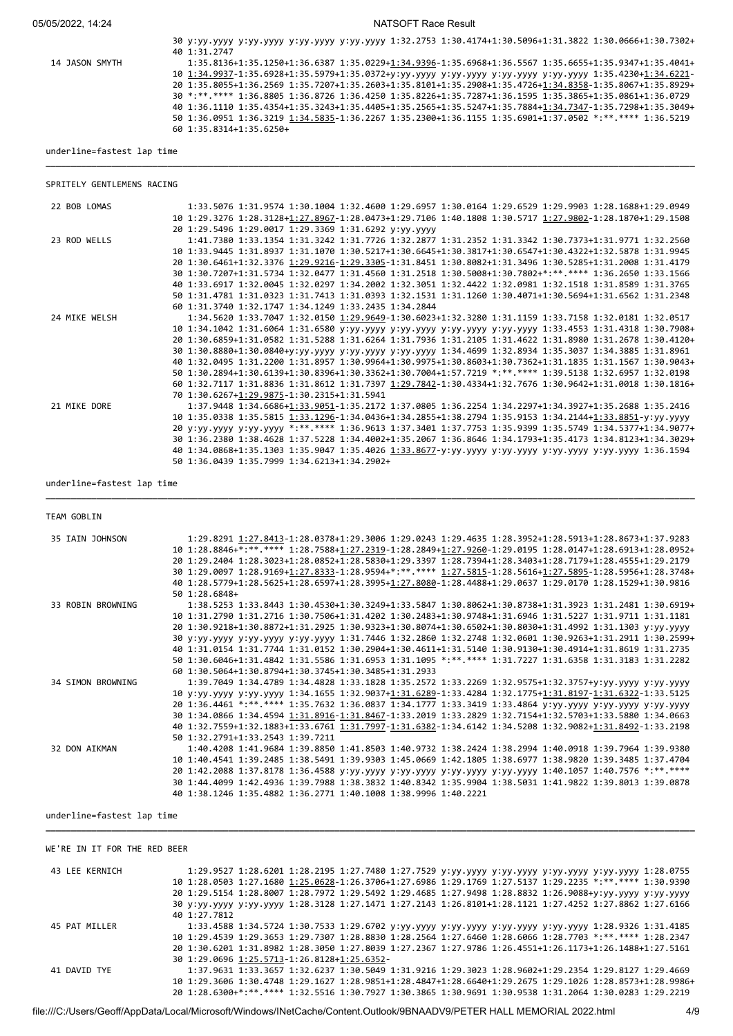05/05/2022, 14:24 NATSOFT Race Result

|                | 30 y:yy.yyyy y:yy.yyyy y:yy.yyyy y:yy.yyyy 1:32.2753 1:30.4174+1:30.5096+1:31.3822 1:30.0666+1:30.7302+<br>40 1:31.2747 |
|----------------|-------------------------------------------------------------------------------------------------------------------------|
| 14 JASON SMYTH | 1:35.8136+1:35.1250+1:36.6387 1:35.0229+1:34.9396-1:35.6968+1:36.5567 1:35.6655+1:35.9347+1:35.4041+                    |
|                | 10 1:34.9937-1:35.6928+1:35.5979+1:35.0372+y:yy.yyyy y:yy.yyyy y:yy.yyyy y:yy.yyyy 1:35.4230+1:34.6221-                 |
|                | 20 1:35.8055+1:36.2569 1:35.7207+1:35.2603+1:35.8101+1:35.2908+1:35.4726+1:34.8358-1:35.8067+1:35.8929+                 |
|                | 30 *:**.**** 1:36.8805 1:36.8726 1:36.4250 1:35.8226+1:35.7287+1:36.1595 1:35.3865+1:35.0861+1:36.0729                  |
|                | 40 1:36.1110 1:35.4354+1:35.3243+1:35.4405+1:35.2565+1:35.5247+1:35.7884+1:34.7347-1:35.7298+1:35.3049+                 |
|                | 50 1:36.0951 1:36.3219 1:34.5835-1:36.2267 1:35.2300+1:36.1155 1:35.6901+1:37.0502 *:** **** 1:36.5219                  |
|                | 60 1:35.8314+1:35.6250+                                                                                                 |

**\_\_\_\_\_\_\_\_\_\_\_\_\_\_\_\_\_\_\_\_\_\_\_\_\_\_\_\_\_\_\_\_\_\_\_\_\_\_\_\_\_\_\_\_\_\_\_\_\_\_\_\_\_\_\_\_\_\_\_\_\_\_\_\_\_\_\_\_\_\_\_\_\_\_\_\_\_\_\_\_\_\_\_\_\_\_\_\_\_\_\_\_\_\_\_\_\_\_\_\_\_\_\_\_\_\_\_\_\_\_\_\_\_\_\_\_\_\_\_\_\_\_\_\_\_\_\_\_**

underline=fastest lap time

|              | SPRITELY GENTLEMENS RACING |                                                                                                                                                                |  |  |                                                                                                     |  |                                                                                                         |
|--------------|----------------------------|----------------------------------------------------------------------------------------------------------------------------------------------------------------|--|--|-----------------------------------------------------------------------------------------------------|--|---------------------------------------------------------------------------------------------------------|
| 22 BOB LOMAS |                            |                                                                                                                                                                |  |  | 1:33.5076 1:31.9574 1:30.1004 1:32.4600 1:29.6957 1:30.0164 1:29.6529 1:29.9903 1:28.1688+1:29.0949 |  |                                                                                                         |
|              |                            | 10 1:29.3276 1:28.3128+1:27.8967-1:28.0473+1:29.7106 1:40.1808 1:30.5717 1:27.9802-1:28.1870+1:29.1508<br>20 1:29.5496 1:29.0017 1:29.3369 1:31.6292 y:yy.yyyy |  |  |                                                                                                     |  |                                                                                                         |
| 23 ROD WELLS |                            |                                                                                                                                                                |  |  | 1:41.7380 1:33.1354 1:31.3242 1:31.7726 1:32.2877 1:31.2352 1:31.3342 1:30.7373+1:31.9771 1:32.2560 |  |                                                                                                         |
|              |                            | 10 1:33.9445 1:31.8937 1:31.1070 1:30.5217+1:30.6645+1:30.3817+1:30.6547+1:30.4322+1:32.5878 1:31.9945                                                         |  |  |                                                                                                     |  |                                                                                                         |
|              |                            | 20 1:30.6461+1:32.3376 1:29.9216-1:29.3305-1:31.8451 1:30.8082+1:31.3496 1:30.5285+1:31.2008 1:31.4179                                                         |  |  |                                                                                                     |  |                                                                                                         |
|              |                            | 30 1:30.7207+1:31.5734 1:32.0477 1:31.4560 1:31.2518 1:30.5008+1:30.7802+*:** **** 1:36.2650 1:33.1566                                                         |  |  |                                                                                                     |  |                                                                                                         |
|              |                            | 40 1:33.6917 1:32.0045 1:32.0297 1:34.2002 1:32.3051 1:32.4422 1:32.0981 1:32.1518 1:31.8589 1:31.3765                                                         |  |  |                                                                                                     |  |                                                                                                         |
|              |                            | 50 1:31.4781 1:31.0323 1:31.7413 1:31.0393 1:32.1531 1:31.1260 1:30.4071+1:30.5694+1:31.6562 1:31.2348                                                         |  |  |                                                                                                     |  |                                                                                                         |
|              |                            | 60 1:31.3740 1:32.1747 1:34.1249 1:33.2435 1:34.2844                                                                                                           |  |  |                                                                                                     |  |                                                                                                         |
|              | 24 MIKE WELSH              |                                                                                                                                                                |  |  | 1:34.5620 1:33.7047 1:32.0150 1:29.9649-1:30.6023+1:32.3280 1:31.1159 1:33.7158 1:32.0181 1:32.0517 |  |                                                                                                         |
|              |                            |                                                                                                                                                                |  |  |                                                                                                     |  | 10 1:34.1042 1:31.6064 1:31.6580 y:yy.yyyy y:yy.yyyy y:yy.yyyy y:yy.yyyy 1:33.4553 1:31.4318 1:30.7908+ |
|              |                            |                                                                                                                                                                |  |  |                                                                                                     |  | 20 1:30.6859+1:31.0582 1:31.5288 1:31.6264 1:31.7936 1:31.2105 1:31.4622 1:31.8980 1:31.2678 1:30.4120+ |
|              |                            | 30 1:30.8880+1:30.0840+y:yy.yyyy y:yy.yyyy y:yy.yyyy 1:34.4699 1:32.8934 1:35.3037 1:34.3885 1:31.8961                                                         |  |  |                                                                                                     |  |                                                                                                         |
|              |                            |                                                                                                                                                                |  |  |                                                                                                     |  | 40 1:32.0495 1:31.2200 1:31.8957 1:30.9964+1:30.9975+1:30.8603+1:30.7362+1:31.1835 1:31.1567 1:30.9043+ |
|              |                            | 50 1:30.2894+1:30.6139+1:30.8396+1:30.3362+1:30.7004+1:57.7219 *:**.**** 1:39.5138 1:32.6957 1:32.0198                                                         |  |  |                                                                                                     |  |                                                                                                         |
|              |                            |                                                                                                                                                                |  |  |                                                                                                     |  | 60 1:32.7117 1:31.8836 1:31.8612 1:31.7397 1:29.7842-1:30.4334+1:32.7676 1:30.9642+1:31.0018 1:30.1816+ |
|              |                            | 70 1:30.6267+1:29.9875-1:30.2315+1:31.5941                                                                                                                     |  |  |                                                                                                     |  |                                                                                                         |
| 21 MIKE DORE |                            |                                                                                                                                                                |  |  | 1:37.9448 1:34.6686+1:33.9051-1:35.2172 1:37.0805 1:36.2254 1:34.2297+1:34.3927+1:35.2688 1:35.2416 |  |                                                                                                         |
|              |                            |                                                                                                                                                                |  |  |                                                                                                     |  |                                                                                                         |
|              |                            | 10 1:35.0338 1:35.5815 1:33.1296-1:34.0436+1:34.2855+1:38.2794 1:35.9153 1:34.2144+1:33.8851-y:yy.yyyy                                                         |  |  |                                                                                                     |  | 20 y:yy.yyyy y:yy.yyyy *:**.**** 1:36.9613 1:37.3401 1:37.7753 1:35.9399 1:35.5749 1:34.5377+1:34.9077+ |
|              |                            |                                                                                                                                                                |  |  |                                                                                                     |  |                                                                                                         |
|              |                            |                                                                                                                                                                |  |  |                                                                                                     |  | 30 1:36.2380 1:38.4628 1:37.5228 1:34.4002+1:35.2067 1:36.8646 1:34.1793+1:35.4173 1:34.8123+1:34.3029+ |
|              |                            | 40 1:34.0868+1:35.1303 1:35.9047 1:35.4026 1:33.8677-y:yy.yyyy y:yy.yyyy y:yy.yyyy y:yy.yyyy 1:36.1594                                                         |  |  |                                                                                                     |  |                                                                                                         |
|              |                            | 50 1:36.0439 1:35.7999 1:34.6213+1:34.2902+                                                                                                                    |  |  |                                                                                                     |  |                                                                                                         |

underline=fastest lap time

#### TEAM GOBLIN

| 35 IAIN JOHNSON   | 1:29.8291 1:27.8413-1:28.0378+1:29.3006 1:29.0243 1:29.4635 1:28.3952+1:28.5913+1:28.8673+1:37.9283     |
|-------------------|---------------------------------------------------------------------------------------------------------|
|                   | 10 1:28.8846+*:**.**** 1:28.7588+1:27.2319-1:28.2849+1:27.9260-1:29.0195 1:28.0147+1:28.6913+1:28.0952+ |
|                   | 20 1:29.2404 1:28.3023+1:28.0852+1:28.5830+1:29.3397 1:28.7394+1:28.3403+1:28.7179+1:28.4555+1:29.2179  |
|                   | 30 1:29.0097 1:28.9169+1:27.8333-1:28.9594+*:**.**** 1:27.5815-1:28.5616+1:27.5895-1:28.5956+1:28.3748+ |
|                   | 40 1:28.5779+1:28.5625+1:28.6597+1:28.3995+1:27.8080-1:28.4488+1:29.0637 1:29.0170 1:28.1529+1:30.9816  |
|                   | 50 1:28.6848+                                                                                           |
| 33 ROBIN BROWNING | 1:38.5253 1:33.8443 1:30.4530+1:30.3249+1:33.5847 1:30.8062+1:30.8738+1:31.3923 1:31.2481 1:30.6919+    |
|                   | 10 1:31.2790 1:31.2716 1:30.7506+1:31.4202 1:30.2483+1:30.9748+1:31.6946 1:31.5227 1:31.9711 1:31.1181  |
|                   | 20 1:30.9218+1:30.8872+1:31.2925 1:30.9323+1:30.8074+1:30.6502+1:30.8030+1:31.4992 1:31.1303 y:yy.yyyy  |
|                   | 30 y:yy.yyyy y:yy.yyyy y:yy.yyyy 1:31.7446 1:32.2860 1:32.2748 1:32.0601 1:30.9263+1:31.2911 1:30.2599+ |
|                   | 40 1:31.0154 1:31.7744 1:31.0152 1:30.2904+1:30.4611+1:31.5140 1:30.9130+1:30.4914+1:31.8619 1:31.2735  |
|                   | 50 1:30.6046+1:31.4842 1:31.5586 1:31.6953 1:31.1095 *:**.**** 1:31.7227 1:31.6358 1:31.3183 1:31.2282  |
|                   | 60 1:30.5064+1:30.8794+1:30.3745+1:30.3485+1:31.2933                                                    |
| 34 SIMON BROWNING | 1:39.7049 1:34.4789 1:34.4828 1:33.1828 1:35.2572 1:33.2269 1:32.9575+1:32.3757+y:yy.yyyy y:yy.yyyy     |
|                   | 10 y:yy.yyyy y:yy.yyyy 1:34.1655 1:32.9037+1:31.6289-1:33.4284 1:32.1775+1:31.8197-1:31.6322-1:33.5125  |
|                   | 20 1:36.4461 *:**.**** 1:35.7632 1:36.0837 1:34.1777 1:33.3419 1:33.4864 y:yy.yyyy y:yy.yyyy y:yy.yyyy  |
|                   | 30 1:34.0866 1:34.4594 1:31.8916-1:31.8467-1:33.2019 1:33.2829 1:32.7154+1:32.5703+1:33.5880 1:34.0663  |
|                   | 40 1:32.7559+1:32.1883+1:33.6761 1:31.7997-1:31.6382-1:34.6142 1:34.5208 1:32.9082+1:31.8492-1:33.2198  |
|                   | 50 1:32.2791+1:33.2543 1:39.7211                                                                        |
| 32 DON AIKMAN     | 1:40.4208 1:41.9684 1:39.8850 1:41.8503 1:40.9732 1:38.2424 1:38.2994 1:40.0918 1:39.7964 1:39.9380     |
|                   | 10 1:40.4541 1:39.2485 1:38.5491 1:39.9303 1:45.0669 1:42.1805 1:38.6977 1:38.9820 1:39.3485 1:37.4704  |
|                   | 20 1:42.2088 1:37.8178 1:36.4588 y:yy.yyyy y:yy.yyyy y:yy.yyyy y:yy.yyyy 1:40.1057 1:40.7576 *:**.****  |
|                   | 30 1:44.4099 1:42.4936 1:39.7988 1:38.3832 1:40.8342 1:35.9904 1:38.5031 1:41.9822 1:39.8013 1:39.0878  |
|                   | 40 1:38.1246 1:35.4882 1:36.2771 1:40.1008 1:38.9996 1:40.2221                                          |

**\_\_\_\_\_\_\_\_\_\_\_\_\_\_\_\_\_\_\_\_\_\_\_\_\_\_\_\_\_\_\_\_\_\_\_\_\_\_\_\_\_\_\_\_\_\_\_\_\_\_\_\_\_\_\_\_\_\_\_\_\_\_\_\_\_\_\_\_\_\_\_\_\_\_\_\_\_\_\_\_\_\_\_\_\_\_\_\_\_\_\_\_\_\_\_\_\_\_\_\_\_\_\_\_\_\_\_\_\_\_\_\_\_\_\_\_\_\_\_\_\_\_\_\_\_\_\_\_**

#### underline=fastest lap time

## WE'RE IN IT FOR THE RED BEER

| 43 LEE KERNICH | 1:29.9527 1:28.6201 1:28.2195 1:27.7480 1:27.7529 y:yy.yyyy y:yy.yyyy y:yy.yyyy y:yy.yyyy 1:28.0755     |
|----------------|---------------------------------------------------------------------------------------------------------|
|                | 10 1:28.0503 1:27.1680 1:25.0628-1:26.3706+1:27.6986 1:29.1769 1:27.5137 1:29.2235 *:**.**** 1:30.9390  |
|                | 20 1:29.5154 1:28.8007 1:28.7972 1:29.5492 1:29.4685 1:27.9498 1:28.8832 1:26.9088+y:yy.yyyy y:yy.yyyy  |
|                | 30 y:yy.yyyy y:yy.yyyy 1:28.3128 1:27.1471 1:27.2143 1:26.8101+1:28.1121 1:27.4252 1:27.8862 1:27.6166  |
|                | 40 1:27.7812                                                                                            |
| 45 PAT MILLER  | 1:33.4588 1:34.5724 1:30.7533 1:29.6702 y:yy.yyyy y:yy.yyyy y:yy.yyyy y:yy.yyyy 1:28.9326 1:31.4185     |
|                | 10 1:29.4539 1:29.3653 1:29.7307 1:28.8830 1:28.2564 1:27.6460 1:28.6066 1:28.7703 *:**.**** 1:28.2347  |
|                | 20 1:30.6201 1:31.8982 1:28.3050 1:27.8039 1:27.2367 1:27.9786 1:26.4551+1:26.1173+1:26.1488+1:27.5161  |
|                | 30 1:29.0696 1:25.5713-1:26.8128+1:25.6352-                                                             |
| 41 DAVID TYE   | 1:37.9631 1:33.3657 1:32.6237 1:30.5049 1:31.9216 1:29.3023 1:28.9602+1:29.2354 1:29.8127 1:29.4669     |
|                | 10 1:29.3606 1:30.4748 1:29.1627 1:28.9851+1:28.4847+1:28.6640+1:29.2675 1:29.1026 1:28.8573+1:28.9986+ |
|                | 20 1:28.6300+*:**.**** 1:32.5516 1:30.7927 1:30.3865 1:30.9691 1:30.9538 1:31.2064 1:30.0283 1:29.2219  |

**\_\_\_\_\_\_\_\_\_\_\_\_\_\_\_\_\_\_\_\_\_\_\_\_\_\_\_\_\_\_\_\_\_\_\_\_\_\_\_\_\_\_\_\_\_\_\_\_\_\_\_\_\_\_\_\_\_\_\_\_\_\_\_\_\_\_\_\_\_\_\_\_\_\_\_\_\_\_\_\_\_\_\_\_\_\_\_\_\_\_\_\_\_\_\_\_\_\_\_\_\_\_\_\_\_\_\_\_\_\_\_\_\_\_\_\_\_\_\_\_\_\_\_\_\_\_\_\_**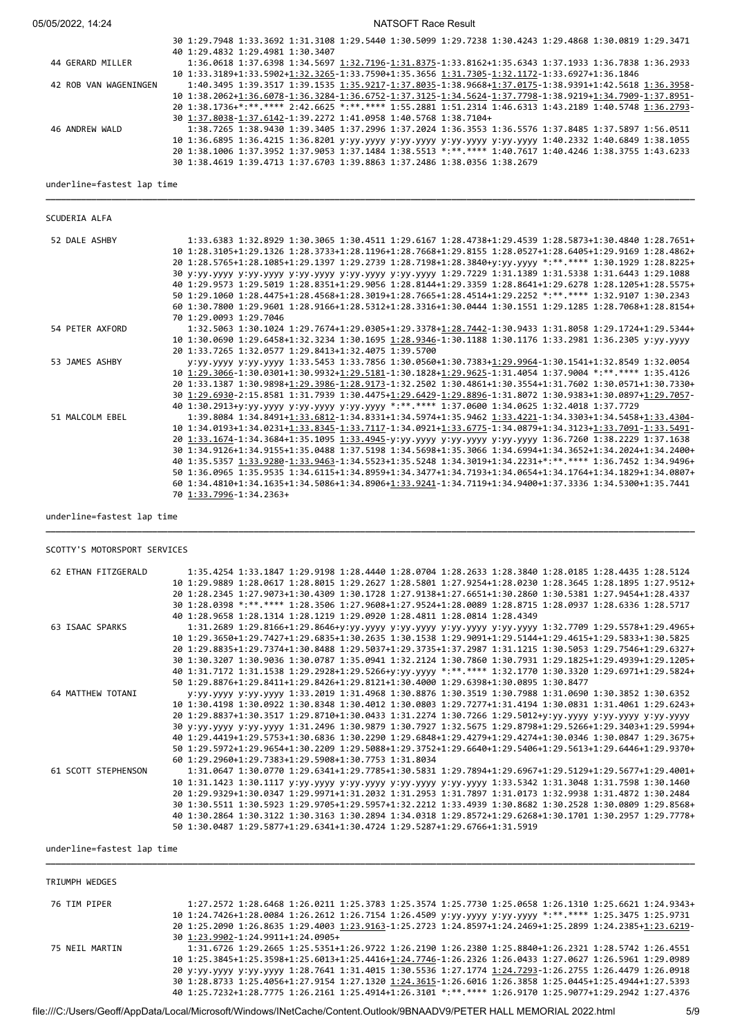| 05/05/2022, 14:24          | <b>NATSOFT Race Result</b>                                                                              |
|----------------------------|---------------------------------------------------------------------------------------------------------|
|                            | 30 1:29.7948 1:33.3692 1:31.3108 1:29.5440 1:30.5099 1:29.7238 1:30.4243 1:29.4868 1:30.0819 1:29.3471  |
|                            | 40 1:29.4832 1:29.4981 1:30.3407                                                                        |
| 44 GERARD MILLER           | 1:36.0618 1:37.6398 1:34.5697 1:32.7196-1:31.8375-1:33.8162+1:35.6343 1:37.1933 1:36.7838 1:36.2933     |
|                            | 10 1:33.3189+1:33.5902+1:32.3265-1:33.7590+1:35.3656 1:31.7305-1:32.1172-1:33.6927+1:36.1846            |
| 42 ROB VAN WAGENINGEN      | 1:40.3495 1:39.3517 1:39.1535 1:35.9217-1:37.8035-1:38.9668+1:37.0175-1:38.9391+1:42.5618 1:36.3958-    |
|                            | 10 1:38.2062+1:36.6078-1:36.3284-1:36.6752-1:37.3125-1:34.5624-1:37.7798-1:38.9219+1:34.7909-1:37.8951- |
|                            | 20 1:38.1736+*:**.**** 2:42.6625 *:**.**** 1:55.2881 1:51.2314 1:46.6313 1:43.2189 1:40.5748 1:36.2793- |
|                            | 30 1:37.8038-1:37.6142-1:39.2272 1:41.0958 1:40.5768 1:38.7104+                                         |
| 46 ANDREW WALD             | 1:38.7265 1:38.9430 1:39.3405 1:37.2996 1:37.2024 1:36.3553 1:36.5576 1:37.8485 1:37.5897 1:56.0511     |
|                            | 10 1:36.6895 1:36.4215 1:36.8201 y:yy.yyyy y:yy.yyyy y:yy.yyyy y:yy.yyyy 1:40.2332 1:40.6849 1:38.1055  |
|                            | 20 1:38.1006 1:37.3952 1:37.9053 1:37.1484 1:38.5513 *:**.**** 1:40.7617 1:40.4246 1:38.3755 1:43.6233  |
|                            | 30 1:38.4619 1:39.4713 1:37.6703 1:39.8863 1:37.2486 1:38.0356 1:38.2679                                |
| underline=fastest lap time |                                                                                                         |
|                            |                                                                                                         |
| SCUDERIA ALFA              |                                                                                                         |
| 52 DALE ASHBY              | 1:33.6383 1:32.8929 1:30.3065 1:30.4511 1:29.6167 1:28.4738+1:29.4539 1:28.5873+1:30.4840 1:28.7651+    |
|                            | 10 1:28.3105+1:29.1326 1:28.3733+1:28.1196+1:28.7668+1:29.8155 1:28.0527+1:28.6405+1:29.9169 1:28.4862+ |
|                            | 20 1:28.5765+1:28.1085+1:29.1397 1:29.2739 1:28.7198+1:28.3840+y:yy.yyyy *:**.**** 1:30.1929 1:28.8225+ |
|                            | 30 y:yy.yyyy y:yy.yyyy y:yy.yyyy y:yy.yyyy y:yy.yyyy 1:29.7229 1:31.1389 1:31.5338 1:31.6443 1:29.1088  |
|                            | 40 1:29.9573 1:29.5019 1:28.8351+1:29.9056 1:28.8144+1:29.3359 1:28.8641+1:29.6278 1:28.1205+1:28.5575+ |
|                            | 50 1:29.1060 1:28.4475+1:28.4568+1:28.3019+1:28.7665+1:28.4514+1:29.2252 *:**.**** 1:32.9107 1:30.2343  |
|                            | 60 1:30.7800 1:29.9601 1:28.9166+1:28.5312+1:28.3316+1:30.0444 1:30.1551 1:29.1285 1:28.7068+1:28.8154+ |
|                            | 70 1:29.0093 1:29.7046                                                                                  |
| 54 PETER AXFORD            | 1:32.5063 1:30.1024 1:29.7674+1:29.0305+1:29.3378+1:28.7442-1:30.9433 1:31.8058 1:29.1724+1:29.5344+    |
|                            | 10 1:30.0690 1:29.6458+1:32.3234 1:30.1695 1:28.9346-1:30.1188 1:30.1176 1:33.2981 1:36.2305 y:yy.yyyy  |
|                            | 20 1:33.7265 1:32.0577 1:29.8413+1:32.4075 1:39.5700                                                    |
| 53 JAMES ASHBY             | y:yy.yyyy y:yy.yyyy 1:33.5453 1:33.7856 1:30.0560+1:30.7383+1:29.9964-1:30.1541+1:32.8549 1:32.0054     |
|                            | 10 1:29.3066-1:30.0301+1:30.9932+1:29.5181-1:30.1828+1:29.9625-1:31.4054 1:37.9004 *:**.**** 1:35.4126  |
|                            | 20 1:33.1387 1:30.9898+1:29.3986-1:28.9173-1:32.2502 1:30.4861+1:30.3554+1:31.7602 1:30.0571+1:30.7330+ |
|                            | 30 1:29.6930-2:15.8581 1:31.7939 1:30.4475+1:29.6429-1:29.8896-1:31.8072 1:30.9383+1:30.0897+1:29.7057- |
|                            | 40 1:30.2913+y:yy.yyyy y:yy.yyyy y:yy.yyyy *:**.**** 1:37.0600 1:34.0625 1:32.4018 1:37.7729            |
| 51 MALCOLM EBEL            | 1:39.8084 1:34.8491+1:33.6812-1:34.8331+1:34.5974+1:35.9462 1:33.4221-1:34.3303+1:34.5458+1:33.4304-    |
|                            | 10 1:34.0193+1:34.0231+1:33.8345-1:33.7117-1:34.0921+1:33.6775-1:34.0879+1:34.3123+1:33.7091-1:33.5491- |
|                            | 20 1:33.1674-1:34.3684+1:35.1095 1:33.4945-y:yy.yyyy y:yy.yyyy y:yy.yyyy 1:36.7260 1:38.2229 1:37.1638  |
|                            | 30 1:34.9126+1:34.9155+1:35.0488 1:37.5198 1:34.5698+1:35.3066 1:34.6994+1:34.3652+1:34.2024+1:34.2400+ |
|                            | 40 1:35.5357 1:33.9280-1:33.9463-1:34.5523+1:35.5248 1:34.3019+1:34.2231+*:**.**** 1:36.7452 1:34.9496+ |
|                            | 50 1:36.0965 1:35.9535 1:34.6115+1:34.8959+1:34.3477+1:34.7193+1:34.0654+1:34.1764+1:34.1829+1:34.0807+ |
|                            | 60 1:34.4810+1:34.1635+1:34.5086+1:34.8906+1:33.9241-1:34.7119+1:34.9400+1:37.3336 1:34.5300+1:35.7441  |
|                            | 70 1:33.7996-1:34.2363+                                                                                 |

underline=fastest lap time

## SCOTTY'S MOTORSPORT SERVICES

| 1:35.4254 1:33.1847 1:29.9198 1:28.4440 1:28.0704 1:28.2633 1:28.3840 1:28.0185 1:28.4435 1:28.5124               |
|-------------------------------------------------------------------------------------------------------------------|
| 10 1:29 9889 1:28 0617 1:28 8015 1:29 2627 1:28 5801 1:27 9254+1:28 0230 1:28 3645 1:28 1895 1:27 9512+           |
| 20 1:28.2345 1:27.9073+1:30.4309 1:30.1728 1:27.9138+1:27.6651+1:30.2860 1:30.5381 1:27.9454+1:28.4337            |
| 30 1:28.0398 *:**.**** 1:28.3506 1:27.9608+1:27.9524+1:28.0089 1:28.8715 1:28.0937 1:28.6336 1:28.5717            |
| 40 1:28.9658 1:28.1314 1:28.1219 1:29.0920 1:28.4811 1:28.0814 1:28.4349                                          |
| 1:31.2689 1:29.8166+1:29.8646+y:yy.yyyy y:yy.yyyy y:yy.yyyy y:yy.yyyy 1:32.7709 1:29.5578+1:29.4965+              |
| 10 1:29.3650+1:29.7427+1:29.6835+1:30.2635 1:30.1538 1:29.9091+1:29.5144+1:29.4615+1:29.5833+1:30.5825            |
| 20 1:29,8835+1:29,7374+1:30,8488 1:29,5037+1:29,3735+1:37,2987 1:31,1215 1:30,5053 1:29,7546+1:29,6327+           |
| 30 1:30.3207 1:30.9036 1:30.0787 1:35.0941 1:32.2124 1:30.7860 1:30.7931 1:29.1825+1:29.4939+1:29.1205+           |
| 40 1:31.7172 1:31.1538 1:29.2928+1:29.5266+y:yy.yyyy *:**.**** 1:32.1770 1:30.3320 1:29.6971+1:29.5824+           |
| 50 1:29.8876+1:29.8411+1:29.8426+1:29.8121+1:30.4000 1:29.6398+1:30.0895 1:30.8477                                |
| V:VV.VVVV V:VV.VVVV 1:33.2019 1:31.4968 1:30.8876 1:30.3519 1:30.7988 1:31.0690 1:30.3852 1:30.6352               |
| 10 1:30.4198 1:30.0922 1:30.8348 1:30.4012 1:30.0803 1:29.7277+1:31.4194 1:30.0831 1:31.4061 1:29.6243+           |
| 20 1:29.8837+1:30.3517 1:29.8710+1:30.0433 1:31.2274 1:30.7266 1:29.5012+y:yy.yyyy y:yy.yyyy y:yy.yyyy            |
| 30 y:yy.yyyy y:yy.yyyy 1:31.2496 1:30.9879 1:30.7927 1:32.5675 1:29.8798+1:29.5266+1:29.3403+1:29.5994+           |
| 40 1:29.4419+1:29.5753+1:30.6836 1:30.2290 1:29.6848+1:29.4279+1:29.4274+1:30.0346 1:30.0847 1:29.3675+           |
| 50 1:29 .5972+1:29 .9654+1:30 .2209 1:29 .5088+1:29 .3752+1:29 .6640+1:29 .5406+1:29 .5613+1:29 .6446+1:29 .9370+ |
| 60 1:29.2960+1:29.7383+1:29.5908+1:30.7753 1:31.8034                                                              |
| 1:31.0647 1:30.0770 1:29.6341+1:29.7785+1:30.5831 1:29.7894+1:29.6967+1:29.5129+1:29.5677+1:29.4001+              |
| 10 1:31.1423 1:30.1117 y:yy.yyyy y:yy.yyyy y:yy.yyyy y:yy.yyyy 1:33.5342 1:31.3048 1:31.7598 1:30.1460            |
| 20 1:29.9329+1:30.0347 1:29.9971+1:31.2032 1:31.2953 1:31.7897 1:31.0173 1:32.9938 1:31.4872 1:30.2484            |
| 30 1:30 5511 1:30 5923 1:29 9705+1:29 5957+1:32 2212 1:33 4939 1:30 8682 1:30 2528 1:30 0809 1:29 8568+           |
| 40 1:30.2864 1:30.3122 1:30.3163 1:30.2894 1:34.0318 1:29.8572+1:29.6268+1:30.1701 1:30.2957 1:29.7778+           |
| 50 1:30.0487 1:29.5877+1:29.6341+1:30.4724 1:29.5287+1:29.6766+1:31.5919                                          |
|                                                                                                                   |

**\_\_\_\_\_\_\_\_\_\_\_\_\_\_\_\_\_\_\_\_\_\_\_\_\_\_\_\_\_\_\_\_\_\_\_\_\_\_\_\_\_\_\_\_\_\_\_\_\_\_\_\_\_\_\_\_\_\_\_\_\_\_\_\_\_\_\_\_\_\_\_\_\_\_\_\_\_\_\_\_\_\_\_\_\_\_\_\_\_\_\_\_\_\_\_\_\_\_\_\_\_\_\_\_\_\_\_\_\_\_\_\_\_\_\_\_\_\_\_\_\_\_\_\_\_\_\_\_**

#### underline=fastest lap time

| TRIUMPH WEDGES |                                                                                                         |
|----------------|---------------------------------------------------------------------------------------------------------|
| 76 TIM PIPER   | 1:27.2572 1:28.6468 1:26.0211 1:25.3783 1:25.3574 1:25.7730 1:25.0658 1:26.1310 1:25.6621 1:24.9343+    |
|                | 10 1:24.7426+1:28.0084 1:26.2612 1:26.7154 1:26.4509 y:yy.yyyy y:yy.yyyy *:**.**** 1:25.3475 1:25.9731  |
|                | 20 1:25.2090 1:26.8635 1:29.4003 1:23.9163-1:25.2723 1:24.8597+1:24.2469+1:25.2899 1:24.2385+1:23.6219- |
|                | 30 1:23.9902-1:24.9911+1:24.0905+                                                                       |
| 75 NEIL MARTIN | 1:31.6726 1:29.2665 1:25.5351+1:26.9722 1:26.2190 1:26.2380 1:25.8840+1:26.2321 1:28.5742 1:26.4551     |
|                | 10 1:25.3845+1:25.3598+1:25.6013+1:25.4416+1:24.7746-1:26.2326 1:26.0433 1:27.0627 1:26.5961 1:29.0989  |
|                | 20 y:yy.yyyy y:yy.yyyy 1:28.7641 1:31.4015 1:30.5536 1:27.1774 1:24.7293-1:26.2755 1:26.4479 1:26.0918  |
|                | 30 1:28.8733 1:25.4056+1:27.9154 1:27.1320 1:24.3615-1:26.6016 1:26.3858 1:25.0445+1:25.4944+1:27.5393  |
|                | 40 1:25.7232+1:28.7775 1:26.2161 1:25.4914+1:26.3101 *:**.**** 1:26.9170 1:25.9077+1:29.2942 1:27.4376  |

**\_\_\_\_\_\_\_\_\_\_\_\_\_\_\_\_\_\_\_\_\_\_\_\_\_\_\_\_\_\_\_\_\_\_\_\_\_\_\_\_\_\_\_\_\_\_\_\_\_\_\_\_\_\_\_\_\_\_\_\_\_\_\_\_\_\_\_\_\_\_\_\_\_\_\_\_\_\_\_\_\_\_\_\_\_\_\_\_\_\_\_\_\_\_\_\_\_\_\_\_\_\_\_\_\_\_\_\_\_\_\_\_\_\_\_\_\_\_\_\_\_\_\_\_\_\_\_\_**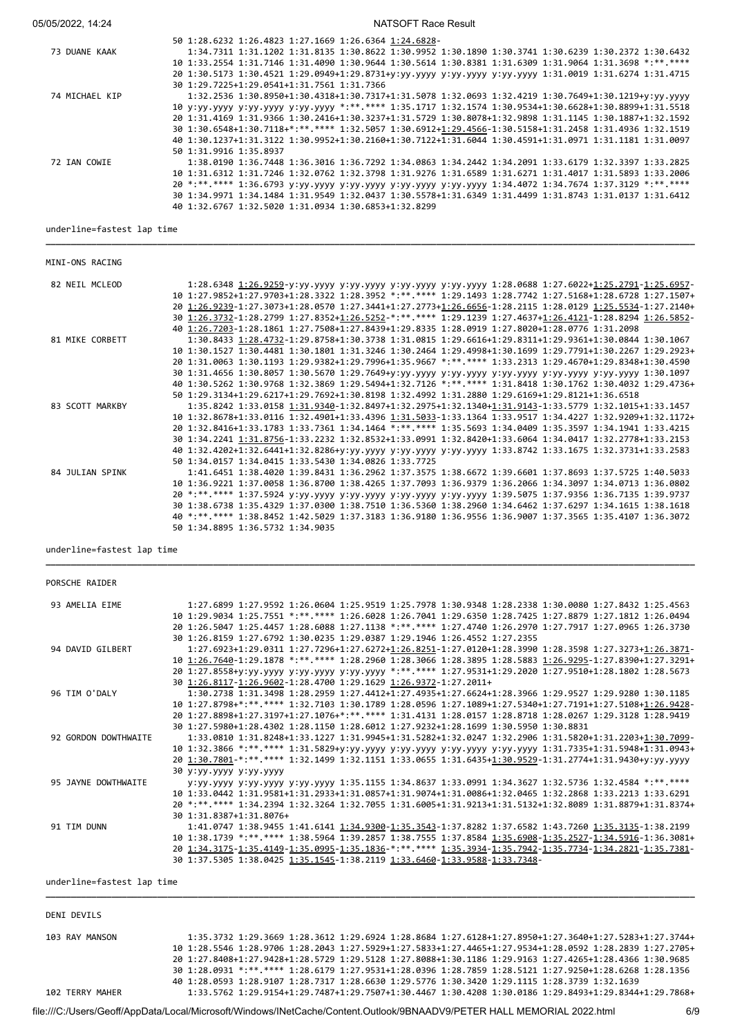## 05/05/2022, 14:24 Result 2010 12:00 NATSOFT Race Result

|                | 50 1:28.6232 1:26.4823 1:27.1669 1:26.6364 1:24.6828-                                                  |
|----------------|--------------------------------------------------------------------------------------------------------|
| 73 DUANE KAAK  | 1:34.7311 1:31.1202 1:31.8135 1:30.8622 1:30.9952 1:30.1890 1:30.3741 1:30.6239 1:30.2372 1:30.6432    |
|                | 10 1:33.2554 1:31.7146 1:31.4090 1:30.9644 1:30.5614 1:30.8381 1:31.6309 1:31.9064 1:31.3698 *:**.**** |
|                | 20 1:30.5173 1:30.4521 1:29.0949+1:29.8731+y:yy.yyyy y:yy.yyyy y:yy.yyyy 1:31.0019 1:31.6274 1:31.4715 |
|                | 30 1:29.7225+1:29.0541+1:31.7561 1:31.7366                                                             |
| 74 MICHAEL KIP | 1:32.2536 1:30.8950+1:30.4318+1:30.7317+1:31.5078 1:32.0693 1:32.4219 1:30.7649+1:30.1219+y:yy.yyyy    |
|                | 10 y:yy.yyyy y:yy.yyyy y:yy.yyyy *:**.**** 1:35.1717 1:32.1574 1:30.9534+1:30.6628+1:30.8899+1:31.5518 |
|                | 20 1:31.4169 1:31.9366 1:30.2416+1:30.3237+1:31.5729 1:30.8078+1:32.9898 1:31.1145 1:30.1887+1:32.1592 |
|                | 30 1:30.6548+1:30.7118+*:**.**** 1:32.5057 1:30.6912+1:29.4566-1:30.5158+1:31.2458 1:31.4936 1:32.1519 |
|                | 40 1:30.1237+1:31.3122 1:30.9952+1:30.2160+1:30.7122+1:31.6044 1:30.4591+1:31.0971 1:31.1181 1:31.0097 |
|                | 50 1:31.9916 1:35.8937                                                                                 |
| 72 IAN COWIE   | 1:38.0190 1:36.7448 1:36.3016 1:36.7292 1:34.0863 1:34.2442 1:34.2091 1:33.6179 1:32.3397 1:33.2825    |
|                | 10 1:31.6312 1:31.7246 1:32.0762 1:32.3798 1:31.9276 1:31.6589 1:31.6271 1:31.4017 1:31.5893 1:33.2006 |
|                | 20 *:**.**** 1:36.6793 y:yy.yyyy y:yy.yyyy y:yy.yyyy y:yy.yyyy 1:34.4072 1:34.7674 1:37.3129 *:**.**** |
|                | 30 1:34.9971 1:34.1484 1:31.9549 1:32.0437 1:30.5578+1:31.6349 1:31.4499 1:31.8743 1:31.0137 1:31.6412 |
|                | 40 1:32.6767 1:32.5020 1:31.0934 1:30.6853+1:32.8299                                                   |
|                |                                                                                                        |

**\_\_\_\_\_\_\_\_\_\_\_\_\_\_\_\_\_\_\_\_\_\_\_\_\_\_\_\_\_\_\_\_\_\_\_\_\_\_\_\_\_\_\_\_\_\_\_\_\_\_\_\_\_\_\_\_\_\_\_\_\_\_\_\_\_\_\_\_\_\_\_\_\_\_\_\_\_\_\_\_\_\_\_\_\_\_\_\_\_\_\_\_\_\_\_\_\_\_\_\_\_\_\_\_\_\_\_\_\_\_\_\_\_\_\_\_\_\_\_\_\_\_\_\_\_\_\_\_**

underline=fastest lap time

MINI-ONS RACING

| 82 NEIL MCLEOD  | 1:28.6348 1:26.9259-y:yy.yyyy y:yy.yyyy y:yy.yyyy y:yy.yyyy 1:28.0688 1:27.6022+1:25.2791-1:25.6957-    |
|-----------------|---------------------------------------------------------------------------------------------------------|
|                 | 10 1:27.9852+1:27.9703+1:28.3322 1:28.3952 *:**.**** 1:29.1493 1:28.7742 1:27.5168+1:28.6728 1:27.1507+ |
|                 | 20 1:26.9239-1:27.3073+1:28.0570 1:27.3441+1:27.2773+1:26.6656-1:28.2115 1:28.0129 1:25.5534-1:27.2140+ |
|                 | 30 1:26.3732-1:28.2799 1:27.8352+1:26.5252-*:**.**** 1:29.1239 1:27.4637+1:26.4121-1:28.8294 1:26.5852- |
|                 | 40 1:26.7203-1:28.1861 1:27.7508+1:27.8439+1:29.8335 1:28.0919 1:27.8020+1:28.0776 1:31.2098            |
| 81 MIKE CORBETT | 1:30.8433 1:28.4732-1:29.8758+1:30.3738 1:31.0815 1:29.6616+1:29.8311+1:29.9361+1:30.0844 1:30.1067     |
|                 | 10 1:30.1527 1:30.4481 1:30.1801 1:31.3246 1:30.2464 1:29.4998+1:30.1699 1:29.7791+1:30.2267 1:29.2923+ |
|                 | 20 1:31.0063 1:30.1193 1:29.9382+1:29.7996+1:35.9667 *:**.**** 1:33.2313 1:29.4670+1:29.8348+1:30.4590  |
|                 | 30 1:31.4656 1:30.8057 1:30.5670 1:29.7649+y:yy.yyyy y:yy.yyyy y:yy.yyyy y:yy.yyyy y:yy.yyyy 1:30.1097  |
|                 | 40 1:30.5262 1:30.9768 1:32.3869 1:29.5494+1:32.7126 *:**.**** 1:31.8418 1:30.1762 1:30.4032 1:29.4736+ |
|                 | 50 1:29.3134+1:29.6217+1:29.7692+1:30.8198 1:32.4992 1:31.2880 1:29.6169+1:29.8121+1:36.6518            |
| 83 SCOTT MARKBY | 1:35.8242 1:33.0158 1:31.9340-1:32.8497+1:32.2975+1:32.1340+1:31.9143-1:33.5779 1:32.1015+1:33.1457     |
|                 | 10 1:32.8678+1:33.0116 1:32.4901+1:33.4396 1:31.5033-1:33.1364 1:33.9517 1:34.4227 1:32.9209+1:32.1172+ |
|                 | 20 1:32.8416+1:33.1783 1:33.7361 1:34.1464 *:**.**** 1:35.5693 1:34.0409 1:35.3597 1:34.1941 1:33.4215  |
|                 | 30 1:34.2241 1:31.8756-1:33.2232 1:32.8532+1:33.0991 1:32.8420+1:33.6064 1:34.0417 1:32.2778+1:33.2153  |
|                 |                                                                                                         |
|                 | 40 1:32.4202+1:32.6441+1:32.8286+y:yy.yyyy y:yy.yyyy y:yy.yyyy 1:33.8742 1:33.1675 1:32.3731+1:33.2583  |
|                 | 50 1:34.0157 1:34.0415 1:33.5430 1:34.0826 1:33.7725                                                    |
| 84 JULIAN SPINK | 1:41.6451 1:38.4020 1:39.8431 1:36.2962 1:37.3575 1:38.6672 1:39.6601 1:37.8693 1:37.5725 1:40.5033     |
|                 | 10 1:36.9221 1:37.0058 1:36.8700 1:38.4265 1:37.7093 1:36.9379 1:36.2066 1:34.3097 1:34.0713 1:36.0802  |
|                 | 20 *:**.**** 1:37.5924 y:yy.yyyy y:yy.yyyy y:yy.yyyy y:yy.yyyy 1:39.5075 1:37.9356 1:36.7135 1:39.9737  |
|                 | 30 1:38.6738 1:35.4329 1:37.0300 1:38.7510 1:36.5360 1:38.2960 1:34.6462 1:37.6297 1:34.1615 1:38.1618  |
|                 | 40 *:**.**** 1:38.8452 1:42.5029 1:37.3183 1:36.9180 1:36.9556 1:36.9007 1:37.3565 1:35.4107 1:36.3072  |
|                 | 50 1:34.8895 1:36.5732 1:34.9035                                                                        |

**\_\_\_\_\_\_\_\_\_\_\_\_\_\_\_\_\_\_\_\_\_\_\_\_\_\_\_\_\_\_\_\_\_\_\_\_\_\_\_\_\_\_\_\_\_\_\_\_\_\_\_\_\_\_\_\_\_\_\_\_\_\_\_\_\_\_\_\_\_\_\_\_\_\_\_\_\_\_\_\_\_\_\_\_\_\_\_\_\_\_\_\_\_\_\_\_\_\_\_\_\_\_\_\_\_\_\_\_\_\_\_\_\_\_\_\_\_\_\_\_\_\_\_\_\_\_\_\_**

#### underline=fastest lap time

| PORSCHE RAIDER             |                                                                                                         |
|----------------------------|---------------------------------------------------------------------------------------------------------|
| 93 AMELIA EIME             | 1:27.6899 1:27.9592 1:26.0604 1:25.9519 1:25.7978 1:30.9348 1:28.2338 1:30.0080 1:27.8432 1:25.4563     |
|                            | 10 1:29 9034 1:25 7551 *:** **** 1:26 6028 1:26 7041 1:29 6350 1:28 7425 1:27 8879 1:27 1812 1:26 0494  |
|                            | 20 1:26.5047 1:25.4457 1:28.6088 1:27.1138 *:**.**** 1:27.4740 1:26.2970 1:27.7917 1:27.0965 1:26.3730  |
|                            | 30 1:26.8159 1:27.6792 1:30.0235 1:29.0387 1:29.1946 1:26.4552 1:27.2355                                |
| 94 DAVID GILBERT           | 1:27.6923+1:29.0311 1:27.7296+1:27.6272+1:26.8251-1:27.0120+1:28.3990 1:28.3598 1:27.3273+1:26.3871-    |
|                            | 10 1:26.7640-1:29.1878 *:**.**** 1:28.2960 1:28.3066 1:28.3895 1:28.5883 1:26.9295-1:27.8390+1:27.3291+ |
|                            | 20 1:27.8558+y:yy.yyyy y:yy.yyyy y:yy.yyyy *:**.**** 1:27.9531+1:29.2020 1:27.9510+1:28.1802 1:28.5673  |
|                            | 30 1:26.8117-1:26.9602-1:28.4700 1:29.1629 1:26.9372-1:27.2011+                                         |
| 96 TIM O'DALY              | 1:30.2738 1:31.3498 1:28.2959 1:27.4412+1:27.4935+1:27.6624+1:28.3966 1:29.9527 1:29.9280 1:30.1185     |
|                            | 10 1:27.8798+*:**.**** 1:32.7103 1:30.1789 1:28.0596 1:27.1089+1:27.5340+1:27.7191+1:27.5108+1:26.9428- |
|                            | 20 1:27.8898+1:27.3197+1:27.1076+*:**.**** 1:31.4131 1:28.0157 1:28.8718 1:28.0267 1:29.3128 1:28.9419  |
|                            | 30 1:27.5980+1:28.4302 1:28.1150 1:28.6012 1:27.9232+1:28.1699 1:30.5950 1:30.8831                      |
| 92 GORDON DOWTHWAITE       | 1:33.0810 1:31.8248+1:33.1227 1:31.9945+1:31.5282+1:32.0247 1:32.2906 1:31.5820+1:31.2203+1:30.7099-    |
|                            | 10 1:32.3866 *:**.**** 1:31.5829+y:yy.yyyy y:yy.yyyy y:yy.yyyy y:yy.yyyy 1:31.7335+1:31.5948+1:31.0943+ |
|                            | 20 1:30.7801-*:**.**** 1:32.1499 1:32.1151 1:33.0655 1:31.6435+1:30.9529-1:31.2774+1:31.9430+y:yy.yyyy  |
|                            | 30 y:yy.yyyy y:yy.yyyy                                                                                  |
| 95 JAYNE DOWTHWAITE        | y:yy.yyyy y:yy.yyyy y:yy.yyyy 1:35.1155 1:34.8637 1:33.0991 1:34.3627 1:32.5736 1:32.4584 *:**.****     |
|                            | 10 1:33.0442 1:31.9581+1:31.2933+1:31.0857+1:31.9074+1:31.0086+1:32.0465 1:32.2868 1:33.2213 1:33.6291  |
|                            | 20 *:**.**** 1:34.2394 1:32.3264 1:32.7055 1:31.6005+1:31.9213+1:31.5132+1:32.8089 1:31.8879+1:31.8374+ |
|                            | 30 1:31.8387+1:31.8076+                                                                                 |
| 91 TIM DUNN                | 1:41.0747 1:38.9455 1:41.6141 1:34.9300-1:35.3543-1:37.8282 1:37.6582 1:43.7260 1:35.3135-1:38.2199     |
|                            | 10 1:38.1739 *:**.**** 1:38.5964 1:39.2857 1:38.7555 1:37.8584 1:35.6908-1:35.2527-1:34.5916-1:36.3081+ |
|                            | 20 1:34.3175-1:35.4149-1:35.0995-1:35.1836-*:**.**** 1:35.3934-1:35.7942-1:35.7734-1:34.2821-1:35.7381- |
|                            | 30 1:37.5305 1:38.0425 1:35.1545-1:38.2119 1:33.6460-1:33.9588-1:33.7348-                               |
| underline=fastest lap time |                                                                                                         |

| DENI DEVILS     |                                                                                                                  |
|-----------------|------------------------------------------------------------------------------------------------------------------|
| 103 RAY MANSON  | $1:35.3732$ $1:29.3669$ $1:28.3612$ $1:29.6924$ $1:28.8684$ $1:27.6128+1:27.8950+1:27.3640+1:27.5283+1:27.3744+$ |
|                 | 10 1:28.5546 1:28.9706 1:28.2043 1:27.5929+1:27.5833+1:27.4465+1:27.9534+1:28.0592 1:28.2839 1:27.2705+          |
|                 | 20 1:27.8408+1:27.9428+1:28.5729 1:29.5128 1:27.8088+1:30.1186 1:29.9163 1:27.4265+1:28.4366 1:30.9685           |
|                 | 30 1:28.0931 *:** **** 1:28.6179 1:27.9531+1:28.0396 1:28.7859 1:28.5121 1:27.9250+1:28.6268 1:28.1356           |
|                 | 40 1:28.0593 1:28.9107 1:28.7317 1:28.6630 1:29.5776 1:30.3420 1:29.1115 1:28.3739 1:32.1639                     |
| 102 TERRY MAHER | 1:33.5762 1:29.9154+1:29.7487+1:29.7507+1:30.4467 1:30.4208 1:30.0186 1:29.8493+1:29.8344+1:29.7868+             |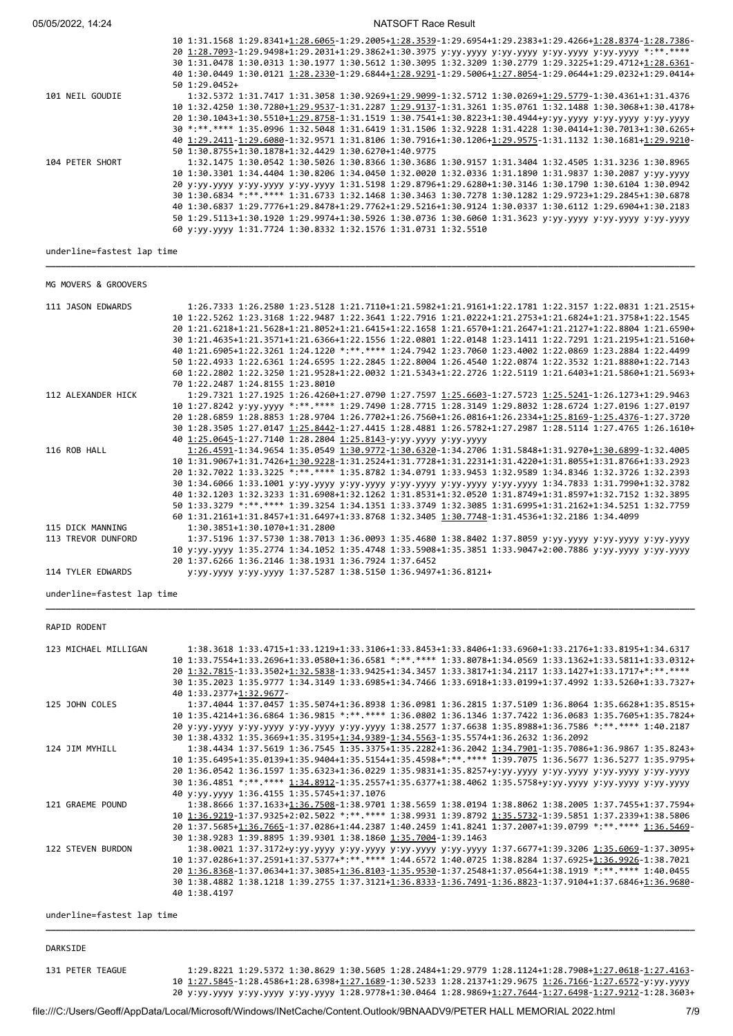05/05/2022, 14:24 NATSOFT Race Result

|                 | 10 1:31.1568 1:29.8341+1:28.6065-1:29.2005+1:28.3539-1:29.6954+1:29.2383+1:29.4266+1:28.8374-1:28.7386- |
|-----------------|---------------------------------------------------------------------------------------------------------|
|                 | 20 1:28.7093-1:29.9498+1:29.2031+1:29.3862+1:30.3975 y:yy.yyyy y:yy.yyyy y:yy.yyyy y:yy.yyyy *:**.****  |
|                 | 30 1:31.0478 1:30.0313 1:30.1977 1:30.5612 1:30.3095 1:32.3209 1:30.2779 1:29.3225+1:29.4712+1:28.6361- |
|                 | 40 1:30.0449 1:30.0121 1:28.2330-1:29.6844+1:28.9291-1:29.5006+1:27.8054-1:29.0644+1:29.0232+1:29.0414+ |
|                 | $501:29.0452+$                                                                                          |
| 101 NEIL GOUDIE | 1:32.5372 1:31.7417 1:31.3058 1:30.9269+1:29.9099-1:32.5712 1:30.0269+1:29.5779-1:30.4361+1:31.4376     |
|                 | 10 1:32.4250 1:30.7280+1:29.9537-1:31.2287 1:29.9137-1:31.3261 1:35.0761 1:32.1488 1:30.3068+1:30.4178+ |
|                 | 20 1:30.1043+1:30.5510+1:29.8758-1:31.1519 1:30.7541+1:30.8223+1:30.4944+y:yy.yyyy y:yy.yyyy y:yy.yyyy  |
|                 | 30 *:**.**** 1:35.0996 1:32.5048 1:31.6419 1:31.1506 1:32.9228 1:31.4228 1:30.0414+1:30.7013+1:30.6265+ |
|                 | 40 1:29.2411-1:29.6080-1:32.9571 1:31.8106 1:30.7916+1:30.1206+1:29.9575-1:31.1132 1:30.1681+1:29.9210- |
|                 | 50 1:30.8755+1:30.1878+1:32.4429 1:30.6270+1:40.9775                                                    |
| 104 PETER SHORT | 1:32.1475 1:30.0542 1:30.5026 1:30.8366 1:30.3686 1:30.9157 1:31.3404 1:32.4505 1:31.3236 1:30.8965     |
|                 | 10 1:30.3301 1:34.4404 1:30.8206 1:34.0450 1:32.0020 1:32.0336 1:31.1890 1:31.9837 1:30.2087 y:yy.yyyy  |
|                 | 20 y:yy.yyyy y:yy.yyyy y:yy.yyyy 1:31.5198 1:29.8796+1:29.6280+1:30.3146 1:30.1790 1:30.6104 1:30.0942  |
|                 | 30 1:30.6834 *:**.**** 1:31.6733 1:32.1468 1:30.3463 1:30.7278 1:30.1282 1:29.9723+1:29.2845+1:30.6878  |
|                 | 40 1:30.6837 1:29.7776+1:29.8478+1:29.7762+1:29.5216+1:30.9124 1:30.0337 1:30.6112 1:29.6904+1:30.2183  |
|                 | 50 1:29.5113+1:30.1920 1:29.9974+1:30.5926 1:30.0736 1:30.6060 1:31.3623 y:yy.yyyy y:yy.yyyy y:yy.yyyy  |
|                 | 60 y:yy.yyyy 1:31.7724 1:30.8332 1:32.1576 1:31.0731 1:32.5510                                          |
|                 |                                                                                                         |

**\_\_\_\_\_\_\_\_\_\_\_\_\_\_\_\_\_\_\_\_\_\_\_\_\_\_\_\_\_\_\_\_\_\_\_\_\_\_\_\_\_\_\_\_\_\_\_\_\_\_\_\_\_\_\_\_\_\_\_\_\_\_\_\_\_\_\_\_\_\_\_\_\_\_\_\_\_\_\_\_\_\_\_\_\_\_\_\_\_\_\_\_\_\_\_\_\_\_\_\_\_\_\_\_\_\_\_\_\_\_\_\_\_\_\_\_\_\_\_\_\_\_\_\_\_\_\_\_**

#### underline=fastest lap time

#### MG MOVERS & GROOVERS

| 111 JASON EDWARDS  | 1:26.7333 1:26.2580 1:23.5128 1:21.7110+1:21.5982+1:21.9161+1:22.1781 1:22.3157 1:22.0831 1:21.2515+    |
|--------------------|---------------------------------------------------------------------------------------------------------|
|                    | 10 1:22.5262 1:23.3168 1:22.9487 1:22.3641 1:22.7916 1:21.0222+1:21.2753+1:21.6824+1:21.3758+1:22.1545  |
|                    | 20 1:21.6218+1:21.5628+1:21.8052+1:21.6415+1:22.1658 1:21.6570+1:21.2647+1:21.2127+1:22.8804 1:21.6590+ |
|                    | 30 1:21.4635+1:21.3571+1:21.6366+1:22.1556 1:22.0801 1:22.0148 1:23.1411 1:22.7291 1:21.2195+1:21.5160+ |
|                    | 40 1:21.6905+1:22.3261 1:24.1220 *:**.**** 1:24.7942 1:23.7060 1:23.4002 1:22.0869 1:23.2884 1:22.4499  |
|                    | 50 1:22.4933 1:22.6361 1:24.6595 1:22.2845 1:22.8004 1:26.4540 1:22.0874 1:22.3532 1:21.8880+1:22.7143  |
|                    | 60 1:22.2802 1:22.3250 1:21.9528+1:22.0032 1:21.5343+1:22.2726 1:22.5119 1:21.6403+1:21.5860+1:21.5693+ |
|                    | 70 1:22.2487 1:24.8155 1:23.8010                                                                        |
| 112 ALEXANDER HICK | 1:29.7321 1:27.1925 1:26.4260+1:27.0790 1:27.7597 1:25.6603-1:27.5723 1:25.5241-1:26.1273+1:29.9463     |
|                    | 10 1:27.8242 y:yy.yyyy *:**.**** 1:29.7490 1:28.7715 1:28.3149 1:29.8032 1:28.6724 1:27.0196 1:27.0197  |
|                    | 20 1:28.6859 1:28.8853 1:28.9704 1:26.7702+1:26.7560+1:26.0816+1:26.2334+1:25.8169-1:25.4376-1:27.3720  |
|                    | 30 1:28.3505 1:27.0147 1:25.8442-1:27.4415 1:28.4881 1:26.5782+1:27.2987 1:28.5114 1:27.4765 1:26.1610+ |
|                    | 40 1:25.0645-1:27.7140 1:28.2804 1:25.8143-y:yy.yyyy y:yy.yyyy                                          |
| 116 ROB HALL       | 1:26.4591-1:34.9654 1:35.0549 1:30.9772-1:30.6320-1:34.2706 1:31.5848+1:31.9270+1:30.6899-1:32.4005     |
|                    | 10 1:31.9067+1:31.7426+1:30.9228-1:31.2524+1:31.7728+1:31.2231+1:31.4220+1:31.8055+1:31.8766+1:33.2923  |
|                    | 20 1:32.7022 1:33.3225 *:**.**** 1:35.8782 1:34.0791 1:33.9453 1:32.9589 1:34.8346 1:32.3726 1:32.2393  |
|                    | 30 1:34.6066 1:33.1001 y:yy.yyyy y:yy.yyyy y:yy.yyyy y:yy.yyyy y:yy.yyyy 1:34.7833 1:31.7990+1:32.3782  |
|                    | 40 1:32.1203 1:32.3233 1:31.6908+1:32.1262 1:31.8531+1:32.0520 1:31.8749+1:31.8597+1:32.7152 1:32.3895  |
|                    | 50 1:33.3279 *:**.**** 1:39.3254 1:34.1351 1:33.3749 1:32.3085 1:31.6995+1:31.2162+1:34.5251 1:32.7759  |
|                    | 60 1:31.2161+1:31.8457+1:31.6497+1:33.8768 1:32.3405 1:30.7748-1:31.4536+1:32.2186 1:34.4099            |
| 115 DICK MANNING   | 1:30.3851+1:30.1070+1:31.2800                                                                           |
| 113 TREVOR DUNFORD | 1:37.5196 1:37.5730 1:38.7013 1:36.0093 1:35.4680 1:38.8402 1:37.8059 y:yy.yyyy y:yy.yyyy y:yy.yyyy     |
|                    | 10 y:yy.yyyy 1:35.2774 1:34.1052 1:35.4748 1:33.5908+1:35.3851 1:33.9047+2:00.7886 y:yy.yyyy y:yy.yyyy  |
|                    | 20 1:37.6266 1:36.2146 1:38.1931 1:36.7924 1:37.6452                                                    |
| 114 TYLER EDWARDS  | y:yy.yyyy y:yy.yyyy 1:37.5287 1:38.5150 1:36.9497+1:36.8121+                                            |

underline=fastest lap time

| <b>RAPID RODENT</b>  |                                                                                                                                                                                                                                                                                                                                                                                                                                                     |
|----------------------|-----------------------------------------------------------------------------------------------------------------------------------------------------------------------------------------------------------------------------------------------------------------------------------------------------------------------------------------------------------------------------------------------------------------------------------------------------|
| 123 MICHAEL MILLIGAN | 1:38.3618 1:33.4715+1:33.1219+1:33.3106+1:33.8453+1:33.8406+1:33.6960+1:33.2176+1:33.8195+1:34.6317<br>10 1:33.7554+1:33.2696+1:33.0580+1:36.6581 *:**.**** 1:33.8078+1:34.0569 1:33.1362+1:33.5811+1:33.0312+<br>20 1:32.7815-1:33.3502+1:32.5838-1:33.9425+1:34.3457 1:33.3817+1:34.2117 1:33.1427+1:33.1717+*:********                                                                                                                           |
|                      | 30 1:35.2023 1:35.9777 1:34.3149 1:33.6985+1:34.7466 1:33.6918+1:33.0199+1:37.4992 1:33.5260+1:33.7327+<br>40 1:33.2377+1:32.9677-                                                                                                                                                                                                                                                                                                                  |
| 125 JOHN COLES       | 1:37.4044 1:37.0457 1:35.5074+1:36.8938 1:36.0981 1:36.2815 1:37.5109 1:36.8064 1:35.6628+1:35.8515+<br>10 1:35.4214+1:36.6864 1:36.9815 *:**.**** 1:36.0802 1:36.1346 1:37.7422 1:36.0683 1:35.7605+1:35.7824+<br>20 y:yy.yyyy y:yy.yyyy y:yy.yyyy y:yy.yyyy 1:38.2577 1:37.6638 1:35.8988+1:36.7586 *:**.**** 1:40.2187                                                                                                                           |
| 124 JIM MYHILL       | 30 1:38.4332 1:35.3669+1:35.3195+1:34.9389-1:34.5563-1:35.5574+1:36.2632 1:36.2092<br>1:38.4434 1:37.5619 1:36.7545 1:35.3375+1:35.2282+1:36.2042 1:34.7901-1:35.7086+1:36.9867 1:35.8243+                                                                                                                                                                                                                                                          |
|                      | 10 1:35.6495+1:35.0139+1:35.9404+1:35.5154+1:35.4598+*:**.**** 1:39.7075 1:36.5677 1:36.5277 1:35.9795+<br>20 1:36.0542 1:36.1597 1:35.6323+1:36.0229 1:35.9831+1:35.8257+y:yy.yyyy y:yy.yyyy y:yy.yyyy y:yy.yyyyy<br>30 1:36.4851 *:**.**** 1:3 <u>4.8912</u> -1:35.2557+1:35.6377+1:38.4062 1:35.5758+y:yy.yyyy y:yy.yyyy y:yy.yyyy                                                                                                               |
| 121 GRAEME POUND     | 40 y:yy.yyyy 1:36.4155 1:35.5745+1:37.1076<br>1:38.8666 1:37.1633+1:36.7508-1:38.9701 1:38.5659 1:38.0194 1:38.8062 1:38.2005 1:37.7455+1:37.7594+<br>10 1:36.9219-1:37.9325+2:02.5022 *:**.**** 1:38.9931 1:39.8792 1:35.5732-1:39.5851 1:37.2339+1:38.5806<br>20 1:37.5685+1:36.7665-1:37.0286+1:44.2387 1:40.2459 1:41.8241 1:37.2007+1:39.0799 *:**.**** 1:36.5469-                                                                             |
| 122 STEVEN BURDON    | 1:38.0021 1:37.3172+y:yy.yyyy y:yy.yyyy y:yy.yyyy y:yy.yyyy 1:37.6677+1:39.3206 1:35.6069-1:37.3095+<br>10 1:37.0286+1:37.2591+1:37.5377+*:**.**** 1:44.6572 1:40.0725 1:38.8284 1:37.6925+1:36.9926-1:38.7021<br>20 1:36.8368-1:37.0634+1:37.3085+1:36.8103-1:35.9530-1:37.2548+1:37.0564+1:38.1919 *:**.**** 1:40.0455<br>30 1:38.4882 1:38.1218 1:39.2755 1:37.3121+1:36.8333-1:36.7491-1:36.8823-1:37.9104+1:37.6846+1:36.9680-<br>40 1:38.4197 |
|                      | 30 1:38.9283 1:39.8895 1:39.9301 1:38.1860 1:35.7004-1:39.1463                                                                                                                                                                                                                                                                                                                                                                                      |

**\_\_\_\_\_\_\_\_\_\_\_\_\_\_\_\_\_\_\_\_\_\_\_\_\_\_\_\_\_\_\_\_\_\_\_\_\_\_\_\_\_\_\_\_\_\_\_\_\_\_\_\_\_\_\_\_\_\_\_\_\_\_\_\_\_\_\_\_\_\_\_\_\_\_\_\_\_\_\_\_\_\_\_\_\_\_\_\_\_\_\_\_\_\_\_\_\_\_\_\_\_\_\_\_\_\_\_\_\_\_\_\_\_\_\_\_\_\_\_\_\_\_\_\_\_\_\_\_**

**\_\_\_\_\_\_\_\_\_\_\_\_\_\_\_\_\_\_\_\_\_\_\_\_\_\_\_\_\_\_\_\_\_\_\_\_\_\_\_\_\_\_\_\_\_\_\_\_\_\_\_\_\_\_\_\_\_\_\_\_\_\_\_\_\_\_\_\_\_\_\_\_\_\_\_\_\_\_\_\_\_\_\_\_\_\_\_\_\_\_\_\_\_\_\_\_\_\_\_\_\_\_\_\_\_\_\_\_\_\_\_\_\_\_\_\_\_\_\_\_\_\_\_\_\_\_\_\_**

underline=fastest lap time

#### DARKSIDE

131 PETER TEAGUE 1:29.8221 1:29.5372 1:30.8629 1:30.5605 1:28.2484+1:29.9779 1:28.1124+1:28.7908+1:27.0618-1:27.4163- 10 1:27.5845-1:28.4586+1:28.6398+1:27.1689-1:30.5233 1:28.2137+1:29.9675 1:26.7166-1:27.6572-y:yy.yyyy 20 y:yy.yyyy y:yy.yyyy y:yy.yyyy 1:28.9778+1:30.0464 1:28.9869+1:27.7644-1:27.6498-1:27.9212-1:28.3603+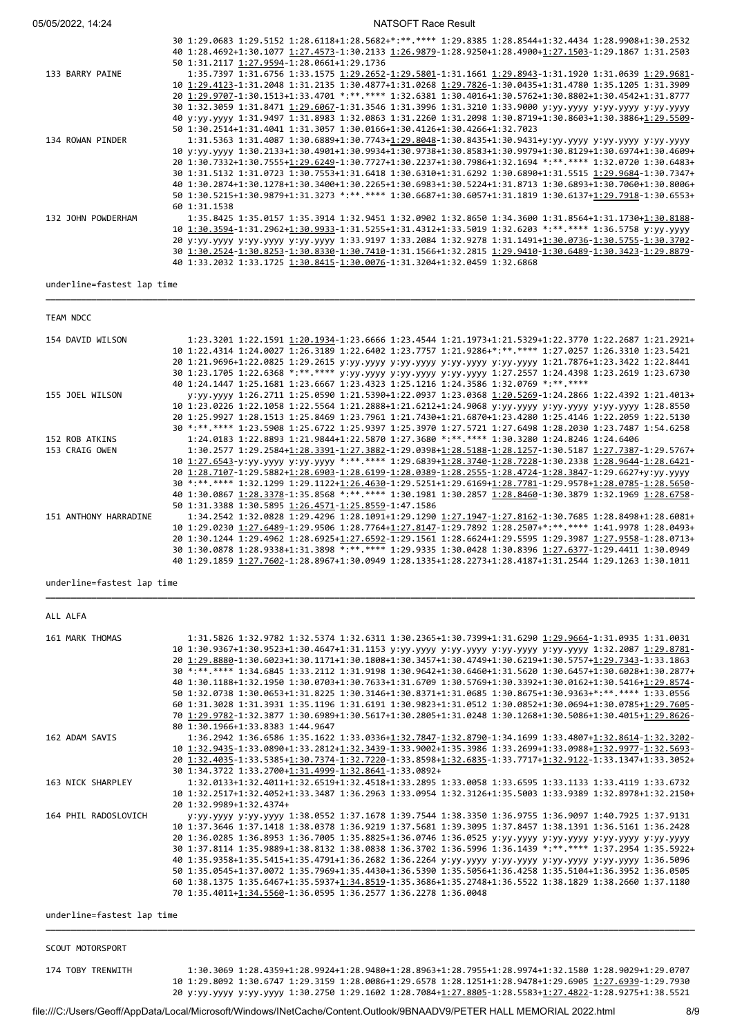NATSOFT Race Result

|                    | 30 1:29.0683 1:29.5152 1:28.6118+1:28.5682+*:**.**** 1:29.8385 1:28.8544+1:32.4434 1:28.9908+1:30.2532  |
|--------------------|---------------------------------------------------------------------------------------------------------|
|                    | 40 1:28.4692+1:30.1077 1:27.4573-1:30.2133 1:26.9879-1:28.9250+1:28.4900+1:27.1503-1:29.1867 1:31.2503  |
|                    | 50 1:31.2117 1:27.9594-1:28.0661+1:29.1736                                                              |
| 133 BARRY PAINE    | 1:35.7397 1:31.6756 1:33.1575 1:29.2652-1:29.5801-1:31.1661 1:29.8943-1:31.1920 1:31.0639 1:29.9681-    |
|                    | 10 1:29.4123-1:31.2048 1:31.2135 1:30.4877+1:31.0268 1:29.7826-1:30.0435+1:31.4780 1:35.1205 1:31.3909  |
|                    | 20 1:29.9707-1:30.1513+1:33.4701 *:**.**** 1:32.6381 1:30.4016+1:30.5762+1:30.8802+1:30.4542+1:31.8777  |
|                    | 30 1:32.3059 1:31.8471 1:29.6067-1:31.3546 1:31.3996 1:31.3210 1:33.9000 y:yy.yyyy y:yy.yyyy y:yy.yyyyy |
|                    | 40 y:yy.yyyy 1:31.9497 1:31.8983 1:32.0863 1:31.2260 1:31.2098 1:30.8719+1:30.8603+1:30.3886+1:29.5509- |
|                    | 50 1:30.2514+1:31.4041 1:31.3057 1:30.0166+1:30.4126+1:30.4266+1:32.7023                                |
| 134 ROWAN PINDER   | 1:31.5363 1:31.4087 1:30.6889+1:30.7743+1:29.8048-1:30.8435+1:30.9431+y:yy.yyyy y:yy.yyyy y:yy.yyyy     |
|                    | 10 y:yy.yyyy 1:30.2133+1:30.4901+1:30.9934+1:30.9738+1:30.8583+1:30.9979+1:30.8129+1:30.6974+1:30.4609+ |
|                    | 20 1:30.7332+1:30.7555+1:29.6249-1:30.7727+1:30.2237+1:30.7986+1:32.1694 *:**.**** 1:32.0720 1:30.6483+ |
|                    | 30 1:31.5132 1:31.0723 1:30.7553+1:31.6418 1:30.6310+1:31.6292 1:30.6890+1:31.5515 1:29.9684-1:30.7347+ |
|                    | 40 1:30.2874+1:30.1278+1:30.3400+1:30.2265+1:30.6983+1:30.5224+1:31.8713 1:30.6893+1:30.7060+1:30.8006+ |
|                    | 50 1:30.5215+1:30.9879+1:31.3273 *:**.**** 1:30.6687+1:30.6057+1:31.1819 1:30.6137+1:29.7918-1:30.6553+ |
|                    | 60 1:31.1538                                                                                            |
| 132 JOHN POWDERHAM | 1:35.8425 1:35.0157 1:35.3914 1:32.9451 1:32.0902 1:32.8650 1:34.3600 1:31.8564+1:31.1730+1:30.8188-    |
|                    | 10 1:30.3594-1:31.2962+1:30.9933-1:31.5255+1:31.4312+1:33.5019 1:32.6203 *:**.**** 1:36.5758 y:yy.yyyy  |
|                    | 20 y:yy.yyyy y:yy.yyyy y:yy.yyyy 1:33.9197 1:33.2084 1:32.9278 1:31.1491+1:30.0736-1:30.5755-1:30.3702- |
|                    | 30 1:30.2524-1:30.8253-1:30.8330-1:30.7410-1:31.1566+1:32.2815 1:29.9410-1:30.6489-1:30.3423-1:29.8879- |
|                    | 40 1:33.2032 1:33.1725 1:30.8415-1:30.0076-1:31.3204+1:32.0459 1:32.6868                                |
|                    |                                                                                                         |

underline=fastest lap time

| TEAM NDCC             |                                                                                                         |
|-----------------------|---------------------------------------------------------------------------------------------------------|
| 154 DAVID WILSON      | 1:23.3201 1:22.1591 1:20.1934-1:23.6666 1:23.4544 1:21.1973+1:21.5329+1:22.3770 1:22.2687 1:21.2921+    |
|                       | 10 1:22.4314 1:24.0027 1:26.3189 1:22.6402 1:23.7757 1:21.9286+*:**.**** 1:27.0257 1:26.3310 1:23.5421  |
|                       | 20 1:21.9696+1:22.0825 1:29.2615 y:yy.yyyy y:yy.yyyy y:yy.yyyy y:yy.yyyy 1:21.7876+1:23.3422 1:22.8441  |
|                       | 30 1:23.1705 1:22.6368 *:**.**** y:yy.yyyy y:yy.yyyy y:yy.yyyy 1:27.2557 1:24.4398 1:23.2619 1:23.6730  |
|                       | 40 1:24.1447 1:25.1681 1:23.6667 1:23.4323 1:25.1216 1:24.3586 1:32.0769 *:**.****                      |
| 155 JOEL WILSON       | v:vv.vvvy 1:26.2711 1:25.0590 1:21.5390+1:22.0937 1:23.0368 1:20.5269-1:24.2866 1:22.4392 1:21.4013+    |
|                       | 10 1:23.0226 1:22.1058 1:22.5564 1:21.2888+1:21.6212+1:24.9068 y:yy.yyyy y:yy.yyyy y:yy.yyyy 1:28.8550  |
|                       | 20 1:25.9927 1:28.1513 1:25.8469 1:23.7961 1:21.7430+1:21.6870+1:23.4280 1:25.4146 1:22.2059 1:22.5130  |
|                       | 30 *:**.**** 1:23.5908 1:25.6722 1:25.9397 1:25.3970 1:27.5721 1:27.6498 1:28.2030 1:23.7487 1:54.6258  |
| 152 ROB ATKINS        | 1:24.0183 1:22.8893 1:21.9844+1:22.5870 1:27.3680 *:**.**** 1:30.3280 1:24.8246 1:24.6406               |
| 153 CRAIG OWEN        | 1:30.2577 1:29.2584+1:28.3391-1:27.3882-1:29.0398+1:28.5188-1:28.1257-1:30.5187 1:27.7387-1:29.5767+    |
|                       | 10 1:27.6543-y:yy.yyyy y:yy.yyyy *:**.**** 1:29.6839+1:28.3740-1:28.7228-1:30.2338 1:28.9644-1:28.6421- |
|                       | 20 1:28.7107-1:29.5882+1:28.6903-1:28.6199-1:28.0389-1:28.2555-1:28.4724-1:28.3847-1:29.6627+y:yy.yyyy  |
|                       | 30 *:**.**** 1:32.1299 1:29.1122+1:26.4630-1:29.5251+1:29.6169+1:28.7781-1:29.9578+1:28.0785-1:28.5650- |
|                       | 40 1:30.0867 1:28.3378-1:35.8568 *:**.**** 1:30.1981 1:30.2857 1:28.8460-1:30.3879 1:32.1969 1:28.6758- |
|                       | 50 1:31.3388 1:30.5895 1:26.4571-1:25.8559-1:47.1586                                                    |
| 151 ANTHONY HARRADINE | 1:34.2542 1:32.0828 1:29.4296 1:28.1091+1:29.1290 1:27.1947-1:27.8162-1:30.7685 1:28.8498+1:28.6081+    |
|                       | 10 1:29.0230 1:27.6489-1:29.9506 1:28.7764+1:27.8147-1:29.7892 1:28.2507+*:**.**** 1:41.9978 1:28.0493+ |
|                       | 20 1:30.1244 1:29.4962 1:28.6925+1:27.6592-1:29.1561 1:28.6624+1:29.5595 1:29.3987 1:27.9558-1:28.0713+ |
|                       | 30 1:30.0878 1:28.9338+1:31.3898 *:**.**** 1:29.9335 1:30.0428 1:30.8396 1:27.6377-1:29.4411 1:30.0949  |
|                       | 40 1:29.1859 1:27.7602-1:28.8967+1:30.0949 1:28.1335+1:28.2273+1:28.4187+1:31.2544 1:29.1263 1:30.1011  |

**\_\_\_\_\_\_\_\_\_\_\_\_\_\_\_\_\_\_\_\_\_\_\_\_\_\_\_\_\_\_\_\_\_\_\_\_\_\_\_\_\_\_\_\_\_\_\_\_\_\_\_\_\_\_\_\_\_\_\_\_\_\_\_\_\_\_\_\_\_\_\_\_\_\_\_\_\_\_\_\_\_\_\_\_\_\_\_\_\_\_\_\_\_\_\_\_\_\_\_\_\_\_\_\_\_\_\_\_\_\_\_\_\_\_\_\_\_\_\_\_\_\_\_\_\_\_\_\_**

**\_\_\_\_\_\_\_\_\_\_\_\_\_\_\_\_\_\_\_\_\_\_\_\_\_\_\_\_\_\_\_\_\_\_\_\_\_\_\_\_\_\_\_\_\_\_\_\_\_\_\_\_\_\_\_\_\_\_\_\_\_\_\_\_\_\_\_\_\_\_\_\_\_\_\_\_\_\_\_\_\_\_\_\_\_\_\_\_\_\_\_\_\_\_\_\_\_\_\_\_\_\_\_\_\_\_\_\_\_\_\_\_\_\_\_\_\_\_\_\_\_\_\_\_\_\_\_\_**

underline=fastest lap time

|                            | ALL ALFA |                      |                                                                                                                                                                                                                                                                                                                                                                                                                                                                                                                                                                                                                                                                                                                                                                                                                                     |
|----------------------------|----------|----------------------|-------------------------------------------------------------------------------------------------------------------------------------------------------------------------------------------------------------------------------------------------------------------------------------------------------------------------------------------------------------------------------------------------------------------------------------------------------------------------------------------------------------------------------------------------------------------------------------------------------------------------------------------------------------------------------------------------------------------------------------------------------------------------------------------------------------------------------------|
|                            |          | 161 MARK THOMAS      | 1:31.5826 1:32.9782 1:32.5374 1:32.6311 1:30.2365+1:30.7399+1:31.6290 1:29.9664-1:31.0935 1:31.0031<br>10 1:30.9367+1:30.9523+1:30.4647+1:31.1153 y:yy.yyyy y:yy.yyyy y:yy.yyyy y:yy.yyyy 1:32.2087 1:29.8781-<br>20 1:29.8880-1:30.6023+1:30.1171+1:30.1808+1:30.3457+1:30.4749+1:30.6219+1:30.5757+1:29.7343-1:33.1863<br>30 *:**.**** 1:34.6845 1:33.2112 1:31.9198 1:30.9642+1:30.6460+1:31.5620 1:30.6457+1:30.6028+1:30.2877+<br>40 1:30.1188+1:32.1950 1:30.0703+1:30.7633+1:31.6709 1:30.5769+1:30.3392+1:30.0162+1:30.5416+1:29.8574-                                                                                                                                                                                                                                                                                      |
|                            |          |                      | 50 1:32.0738 1:30.0653+1:31.8225 1:30.3146+1:30.8371+1:31.0685 1:30.8675+1:30.9363+*:**.**** 1:33.0556<br>60 1:31.3028 1:31.3931 1:35.1196 1:31.6191 1:30.9823+1:31.0512 1:30.0852+1:30.0694+1:30.0785+1:29.7605-<br>70 1:29.9782-1:32.3877 1:30.6989+1:30.5617+1:30.2805+1:31.0248 1:30.1268+1:30.5086+1:30.4015+1:29.8626-<br>80 1:30.1966+1:33.8383 1:44.9647                                                                                                                                                                                                                                                                                                                                                                                                                                                                    |
|                            |          | 162 ADAM SAVIS       | 1:36.2942 1:36.6586 1:35.1622 1:33.0336+1:32.7847-1:32.8790-1:34.1699 1:33.4807+1:32.8614-1:32.3202-<br>10 1:32.9435-1:33.0890+1:33.2812+1:32.3439-1:33.9002+1:35.3986 1:33.2699+1:33.0988+1:32.9977-1:32.5693-<br>20 1:32.4035-1:33.5385+1:30.7374-1:32.7220-1:33.8598+1:32.6835-1:33.7717+1:32.9122-1:33.1347+1:33.3052+<br>30 1:34.3722 1:33.2700+1:31.4999-1:32.8641-1:33.0892+                                                                                                                                                                                                                                                                                                                                                                                                                                                 |
|                            |          | 163 NICK SHARPLEY    | 1:32.0133+1:32.4011+1:32.6519+1:32.4518+1:33.2895 1:33.0058 1:33.6595 1:33.1133 1:33.4119 1:33.6732<br>10 1:32.2517+1:32.4052+1:33.3487 1:36.2963 1:33.0954 1:32.3126+1:35.5003 1:33.9389 1:32.8978+1:32.2150+<br>20 1:32.9989+1:32.4374+                                                                                                                                                                                                                                                                                                                                                                                                                                                                                                                                                                                           |
|                            |          | 164 PHIL RADOSLOVICH | V:VV.VVVV V:VV.VVVV 1:38.0552 1:37.1678 1:39.7544 1:38.3350 1:36.9755 1:36.9097 1:40.7925 1:37.9131<br>10 1:37.3646 1:37.1418 1:38.0378 1:36.9219 1:37.5681 1:39.3095 1:37.8457 1:38.1391 1:36.5161 1:36.2428<br>20 1:36.0285 1:36.8953 1:36.7005 1:35.8825+1:36.0746 1:36.0525 y:yy.yyyy y:yy.yyyy y:yy.yyyy y:yy.yyyyy<br>30 1:37.8114 1:35.9889+1:38.8132 1:38.0838 1:36.3702 1:36.5996 1:36.1439 *:** **** 1:37.2954 1:35.5922+<br>40 1:35.9358+1:35.5415+1:35.4791+1:36.2682 1:36.2264 y:yy.yyyy y:yy.yyyy y:yy.yyyy y:yy.yyyy 1:36.5096<br>50.1235.0545+1:37.0072 1:35.7969+1:35.4430+1:36.5390 1:35.5056+1:36.4258 1:35.5104+1:36.3952 1:36.0505<br>60 1:38.1375 1:35.6467+1:35.5937+1:34.8519-1:35.3686+1:35.2748+1:36.5522 1:38.1829 1:38.2660 1:37.1180<br>70 1:35.4011+1:34.5560-1:36.0595 1:36.2577 1:36.2278 1:36.0048 |
| underline=fastest lap time |          |                      |                                                                                                                                                                                                                                                                                                                                                                                                                                                                                                                                                                                                                                                                                                                                                                                                                                     |

```
SCOUT MOTORSPORT
```

| 174 TOBY TRENWITH | 1:30.3069 1:28.4359+1:28.9924+1:28.9480+1:28.8963+1:28.7955+1:28.9974+1:32.1580 1:28.9029+1:29.0707    |
|-------------------|--------------------------------------------------------------------------------------------------------|
|                   | 10 1:29.8092 1:30.6747 1:29.3159 1:28.0086+1:29.6578 1:28.1251+1:28.9478+1:29.6905 1:27.6939-1:29.7930 |
|                   | 20 y:yy.yyyy y:yy.yyyy 1:30.2750 1:29.1602 1:28.7084+1:27.8805-1:28.5583+1:27.4822-1:28.9275+1:38.5521 |